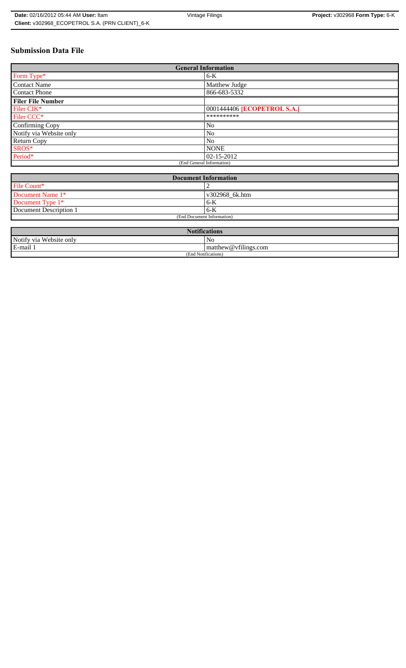# **Submission Data File**

| <b>General Information</b> |                                    |  |  |
|----------------------------|------------------------------------|--|--|
| Form Type*                 | $6-K$                              |  |  |
| <b>Contact Name</b>        | Matthew Judge                      |  |  |
| <b>Contact Phone</b>       | 866-683-5332                       |  |  |
| <b>Filer File Number</b>   |                                    |  |  |
| Filer CIK*                 | 0001444406 <b>[ECOPETROL S.A.]</b> |  |  |
| Filer CCC*                 | **********                         |  |  |
| Confirming Copy            | N <sub>0</sub>                     |  |  |
| Notify via Website only    | No                                 |  |  |
| <b>Return Copy</b>         | No                                 |  |  |
| SROS*                      | <b>NONE</b>                        |  |  |
| Period*                    | $ 02 - 15 - 2012 $                 |  |  |
|                            | (End General Information)          |  |  |

| <b>Document Information</b> |                |  |  |
|-----------------------------|----------------|--|--|
| File Count*                 |                |  |  |
| Document Name 1*            | v302968_6k.htm |  |  |
| Document Type 1*            | $6 - K$        |  |  |
| Document Description 1      | $6 - K$        |  |  |
| (End Document Information)  |                |  |  |

| $\mathbf{1} \cdot \mathbf{P}$<br><b>BT</b><br><b>Notifications</b> |                                |  |
|--------------------------------------------------------------------|--------------------------------|--|
| Notify via<br>u Website only                                       | No                             |  |
| E-mail 1                                                           | $\vert$ matthew @ vfilings.com |  |
| (End Notifications)                                                |                                |  |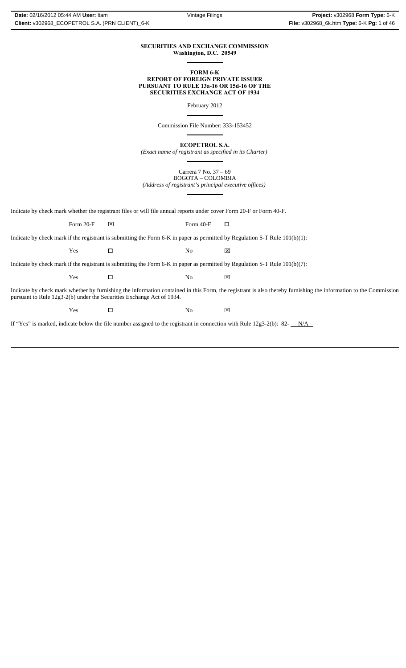#### **SECURITIES AND EXCHANGE COMMISSION Washington, D.C. 20549**  $\overline{a}$

#### **FORM 6-K REPORT OF FOREIGN PRIVATE ISSUER PURSUANT TO RULE 13a-16 OR 15d-16 OF THE SECURITIES EXCHANGE ACT OF 1934**

February 2012

Commission File Number: 333-153452

 $\overline{a}$ 

 $\overline{a}$ 

 $\overline{a}$ 

 $\overline{a}$ 

**ECOPETROL S.A.**

*(Exact name of registrant as specified in its Charter)*

Carrera 7 No. 37 – 69 BOGOTA – COLOMBIA *(Address of registrant's principal executive offices)*

Indicate by check mark whether the registrant files or will file annual reports under cover Form 20-F or Form 40-F.

Indicate by check mark if the registrant is submitting the Form 6-K in paper as permitted by Regulation S-T Rule 101(b)(1): Form 20-F  $\boxtimes$  Form 40-F  $\Box$ 

 $\Gamma$   $\blacksquare$   $\blacksquare$   $\blacksquare$   $\blacksquare$   $\blacksquare$   $\blacksquare$ 

Indicate by check mark if the registrant is submitting the Form 6-K in paper as permitted by Regulation S-T Rule 101(b)(7):

 $\Gamma$   $\blacksquare$   $\blacksquare$   $\blacksquare$   $\blacksquare$   $\blacksquare$   $\blacksquare$ 

Indicate by check mark whether by furnishing the information contained in this Form, the registrant is also thereby furnishing the information to the Commission pursuant to Rule 12g3-2(b) under the Securities Exchange Act of 1934.

 $\Gamma$   $\blacksquare$   $\blacksquare$   $\blacksquare$   $\blacksquare$   $\blacksquare$   $\blacksquare$ 

If "Yes" is marked, indicate below the file number assigned to the registrant in connection with Rule 12g3-2(b): 82- N/A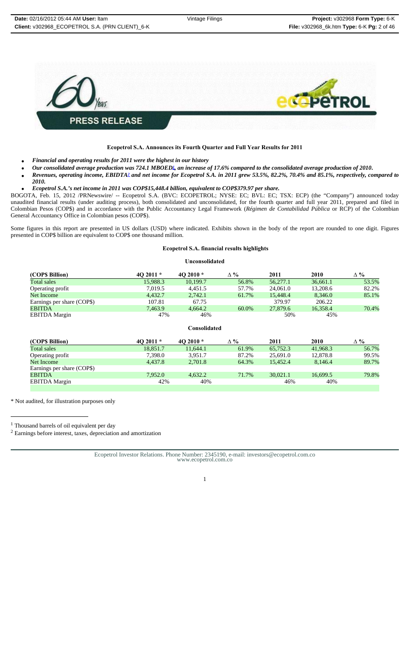

# **Ecopetrol S.A. Announces its Fourth Quarter and Full Year Results for 2011**

- *Financial and operating results for 2011 were the highest in our history*
- *Our consolidated average production was 724.1 MBOED1, an increase of 17.6% compared to the consolidated average production of 2010***.**
- *Revenues, operating income, EBIDTA2 and net income for Ecopetrol S.A. in 2011 grew 53.5%, 82.2%, 70.4% and 85.1%, respectively, compared to 2010.*
- *Ecopetrol S.A.'s net income in 2011 was COP\$15,448.4 billion, equivalent to COP\$379.97 per share.*

BOGOTA, Feb. 15, 2012 /PRNewswire/ -- Ecopetrol S.A. (BVC: ECOPETROL; NYSE: EC; BVL: EC; TSX: ECP) (the "Company") announced today unaudited financial results (under auditing process), both consolidated and unconsolidated, for the fourth quarter and full year 2011, prepared and filed in Colombian Pesos (COP\$) and in accordance with the Public Accountancy Legal Framework (*Régimen de Contabilidad Pública* or RCP) of the Colombian General Accountancy Office in Colombian pesos (COP\$).

Some figures in this report are presented in US dollars (USD) where indicated. Exhibits shown in the body of the report are rounded to one digit. Figures presented in COP\$ billion are equivalent to COP\$ one thousand million.

# **Ecopetrol S.A. financial results highlights**

#### **Unconsolidated**

| (COP\$ Billion)            | $402011*$ | 4O 2010 $*$ | Δ%    | 2011     | 2010     | $\Delta \%$ |
|----------------------------|-----------|-------------|-------|----------|----------|-------------|
| Total sales                | 15.988.3  | 10.199.7    | 56.8% | 56,277.1 | 36,661.1 | 53.5%       |
| Operating profit           | 7.019.5   | 4.451.5     | 57.7% | 24,061.0 | 13,208.6 | 82.2%       |
| Net Income                 | 4.432.7   | 2,742.1     | 61.7% | 15,448.4 | 8.346.0  | 85.1%       |
| Earnings per share (COP\$) | 107.81    | 67.75       |       | 379.97   | 206.22   |             |
| <b>EBITDA</b>              | 7.463.9   | 4.664.2     | 60.0% | 27,879.6 | 16.358.4 | 70.4%       |
| <b>EBITDA</b> Margin       | 47%       | 46%         |       | 50%      | 45%      |             |

**Consolidated**

| (COP\$ Billion)            | $402011*$ | 4O 2010 $*$ | $\Delta \%$ | 2011     | 2010     | $\Delta \%$ |
|----------------------------|-----------|-------------|-------------|----------|----------|-------------|
| Total sales                | 18.851.7  | 11.644.1    | 61.9%       | 65,752.3 | 41.968.3 | 56.7%       |
| Operating profit           | 7.398.0   | 3.951.7     | 87.2%       | 25,691.0 | 12,878.8 | 99.5%       |
| Net Income                 | 4.437.8   | 2,701.8     | 64.3%       | 15.452.4 | 8.146.4  | 89.7%       |
| Earnings per share (COP\$) |           |             |             |          |          |             |
| <b>EBITDA</b>              | 7.952.0   | 4.632.2     | 71.7%       | 30.021.1 | 16.699.5 | 79.8%       |
| <b>EBITDA</b> Margin       | 42%       | 40%         |             | 46%      | 40%      |             |
|                            |           |             |             |          |          |             |

\* Not audited, for illustration purposes only

<sup>1</sup> Thousand barrels of oil equivalent per day

2 Earnings before interest, taxes, depreciation and amortization

Ecopetrol Investor Relations. Phone Number: 2345190, e-mail: investors@ecopetrol.com.co www.ecopetrol.com.co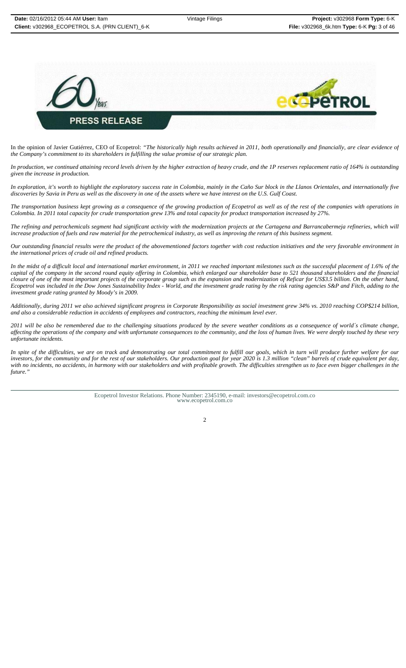

In the opinion of Javier Gutiérrez, CEO of Ecopetrol: *"The historically high results achieved in 2011, both operationally and financially, are clear evidence of the Company's commitment to its shareholders in fulfilling the value promise of our strategic plan.*

*In production, we continued attaining record levels driven by the higher extraction of heavy crude, and the 1P reserves replacement ratio of 164% is outstanding given the increase in production.*

*In exploration, it's worth to highlight the exploratory success rate in Colombia, mainly in the Caño Sur block in the Llanos Orientales, and internationally five discoveries by Savia in Peru as well as the discovery in one of the assets where we have interest on the U.S. Gulf Coast.*

*The transportation business kept growing as a consequence of the growing production of Ecopetrol as well as of the rest of the companies with operations in Colombia. In 2011 total capacity for crude transportation grew 13% and total capacity for product transportation increased by 27%.* 

*The refining and petrochemicals segment had significant activity with the modernization projects at the Cartagena and Barrancabermeja refineries, which will increase production of fuels and raw material for the petrochemical industry, as well as improving the return of this business segment.*

*Our outstanding financial results were the product of the abovementioned factors together with cost reduction initiatives and the very favorable environment in the international prices of crude oil and refined products.*

*In the midst of a difficult local and international market environment, in 2011 we reached important milestones such as the successful placement of 1.6% of the capital of the company in the second round equity offering in Colombia, which enlarged our shareholder base to 521 thousand shareholders and the financial closure of one of the most important projects of the corporate group such as the expansion and modernization of Reficar for US\$3.5 billion. On the other hand, Ecopetrol was included in the Dow Jones Sustainability Index - World, and the investment grade rating by the risk rating agencies S&P and Fitch, adding to the investment grade rating granted by Moody's in 2009.* 

*Additionally, during 2011 we also achieved significant progress in Corporate Responsibility as social investment grew 34% vs. 2010 reaching COP\$214 billion, and also a considerable reduction in accidents of employees and contractors, reaching the minimum level ever.*

*2011 will be also be remembered due to the challenging situations produced by the severe weather conditions as a consequence of world´s climate change, affecting the operations of the company and with unfortunate consequences to the community, and the loss of human lives. We were deeply touched by these very unfortunate incidents.*

*In spite of the difficulties, we are on track and demonstrating our total commitment to fulfill our goals, which in turn will produce further welfare for our investors, for the community and for the rest of our stakeholders. Our production goal for year 2020 is 1.3 million "clean" barrels of crude equivalent per day, with no incidents, no accidents, in harmony with our stakeholders and with profitable growth. The difficulties strengthen us to face even bigger challenges in the future."*

Ecopetrol Investor Relations. Phone Number: 2345190, e-mail: investors@ecopetrol.com.co www.ecopetrol.com.co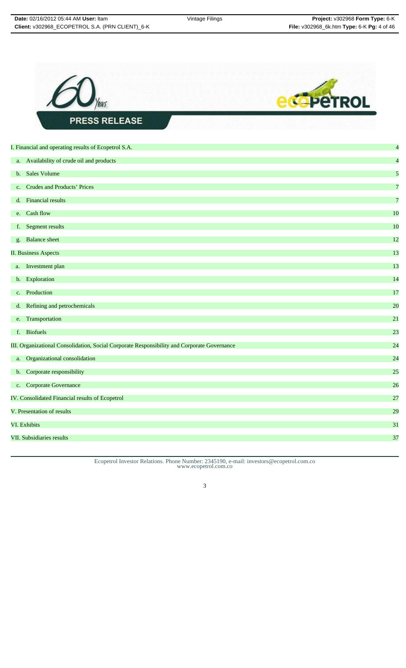

Ecopetrol Investor Relations. Phone Number: 2345190, e-mail: investors@ecopetrol.com.co www.ecopetrol.com.co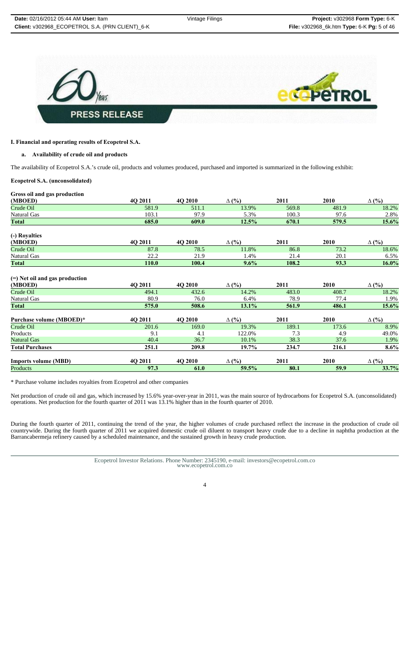

# **I. Financial and operating results of Ecopetrol S.A.**

# **a. Availability of crude oil and products**

The availability of Ecopetrol S.A.'s crude oil, products and volumes produced, purchased and imported is summarized in the following exhibit:

#### **Ecopetrol S.A. (unconsolidated)**

|  |  | Gross oil and gas production |
|--|--|------------------------------|
|  |  |                              |

| (MBOED)                                     | 4Q 2011 | 4Q 2010 | $\Delta$ (%) | 2011  | 2010        | $\Delta$ (%) |
|---------------------------------------------|---------|---------|--------------|-------|-------------|--------------|
| Crude Oil                                   | 581.9   | 511.1   | 13.9%        | 569.8 | 481.9       | 18.2%        |
| Natural Gas                                 | 103.1   | 97.9    | 5.3%         | 100.3 | 97.6        | 2.8%         |
| Total                                       | 685.0   | 609.0   | 12.5%        | 670.1 | 579.5       | 15.6%        |
| (-) Royalties                               |         |         |              |       |             |              |
| (MBOED)                                     | 40 2011 | 4Q 2010 | $\Delta$ (%) | 2011  | <b>2010</b> | $\Delta$ (%) |
| Crude Oil                                   | 87.8    | 78.5    | 11.8%        | 86.8  | 73.2        | 18.6%        |
| Natural Gas                                 | 22.2    | 21.9    | 1.4%         | 21.4  | 20.1        | 6.5%         |
| <b>Total</b>                                | 110.0   | 100.4   | 9.6%         | 108.2 | 93.3        | 16.0%        |
| $(=)$ Net oil and gas production<br>(MBOED) | 4Q 2011 | 4Q 2010 | $\Delta$ (%) | 2011  | <b>2010</b> | $\Delta$ (%) |
| Crude Oil                                   | 494.1   | 432.6   | 14.2%        | 483.0 | 408.7       | 18.2%        |
| Natural Gas                                 | 80.9    | 76.0    | 6.4%         | 78.9  | 77.4        | 1.9%         |
| <b>Total</b>                                | 575.0   | 508.6   | 13.1%        | 561.9 | 486.1       | 15.6%        |
| Purchase volume (MBOED)*                    | 4Q 2011 | 4Q 2010 | $\Delta$ (%) | 2011  | 2010        | $\Delta$ (%) |
| Crude Oil                                   | 201.6   | 169.0   | 19.3%        | 189.1 | 173.6       | 8.9%         |
| Products                                    | 9.1     | 4.1     | 122.0%       | 7.3   | 4.9         | 49.0%        |
| <b>Natural Gas</b>                          | 40.4    | 36.7    | 10.1%        | 38.3  | 37.6        | 1.9%         |
| <b>Total Purchases</b>                      | 251.1   | 209.8   | 19.7%        | 234.7 | 216.1       | 8.6%         |
| <b>Imports volume (MBD)</b>                 | 4Q 2011 | 4Q 2010 | $\Delta$ (%) | 2011  | <b>2010</b> | $\Delta$ (%) |
| Products                                    | 97.3    | 61.0    | 59.5%        | 80.1  | 59.9        | 33.7%        |

\* Purchase volume includes royalties from Ecopetrol and other companies

Net production of crude oil and gas, which increased by 15.6% year-over-year in 2011, was the main source of hydrocarbons for Ecopetrol S.A. (unconsolidated) operations. Net production for the fourth quarter of 2011 was 13.1% higher than in the fourth quarter of 2010.

During the fourth quarter of 2011, continuing the trend of the year, the higher volumes of crude purchased reflect the increase in the production of crude oil countrywide. During the fourth quarter of 2011 we acquired domestic crude oil diluent to transport heavy crude due to a decline in naphtha production at the Barrancabermeja refinery caused by a scheduled maintenance, and the sustained growth in heavy crude production.

Ecopetrol Investor Relations. Phone Number: 2345190, e-mail: investors@ecopetrol.com.co www.ecopetrol.com.co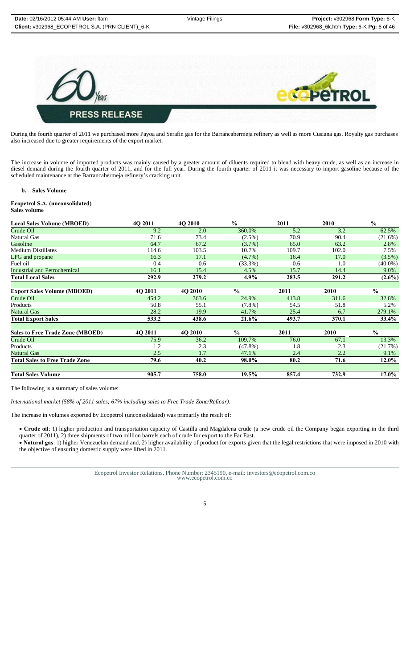

During the fourth quarter of 2011 we purchased more Payoa and Serafin gas for the Barrancabermeja refinery as well as more Cusiana gas. Royalty gas purchases also increased due to greater requirements of the export market.

The increase in volume of imported products was mainly caused by a greater amount of diluents required to blend with heavy crude, as well as an increase in diesel demand during the fourth quarter of 2011, and for the full year. During the fourth quarter of 2011 it was necessary to import gasoline because of the scheduled maintenance at the Barrancabermeja refinery's cracking unit.

#### **b. Sales Volume**

#### **Ecopetrol S.A. (unconsolidated) Sales volume**

| <b>Local Sales Volume (MBOED)</b>       | 40 2011 | 4O 2010 | $\frac{0}{0}$ | 2011  | 2010  | $\frac{0}{0}$ |
|-----------------------------------------|---------|---------|---------------|-------|-------|---------------|
| Crude Oil                               | 9.2     | 2.0     | 360.0%        | 5.2   | 3.2   | 62.5%         |
| Natural Gas                             | 71.6    | 73.4    | $(2.5\%)$     | 70.9  | 90.4  | $(21.6\%)$    |
| Gasoline                                | 64.7    | 67.2    | $(3.7\%)$     | 65.0  | 63.2  | 2.8%          |
| <b>Medium Distillates</b>               | 114.6   | 103.5   | 10.7%         | 109.7 | 102.0 | 7.5%          |
| LPG and propane                         | 16.3    | 17.1    | $(4.7\%)$     | 16.4  | 17.0  | $(3.5\%)$     |
| Fuel oil                                | 0.4     | 0.6     | $(33.3\%)$    | 0.6   | 1.0   | $(40.0\%)$    |
| <b>Industrial and Petrochemical</b>     | 16.1    | 15.4    | 4.5%          | 15.7  | 14.4  | 9.0%          |
| <b>Total Local Sales</b>                | 292.9   | 279.2   | $4.9\%$       | 283.5 | 291.2 | $(2.6\%)$     |
|                                         |         |         |               |       |       |               |
| <b>Export Sales Volume (MBOED)</b>      | 4Q 2011 | 4Q 2010 | $\frac{0}{0}$ | 2011  | 2010  | $\frac{0}{0}$ |
| Crude Oil                               | 454.2   | 363.6   | 24.9%         | 413.8 | 311.6 | 32.8%         |
| Products                                | 50.8    | 55.1    | $(7.8\%)$     | 54.5  | 51.8  | 5.2%          |
| Natural Gas                             | 28.2    | 19.9    | 41.7%         | 25.4  | 6.7   | 279.1%        |
| <b>Total Export Sales</b>               | 533.2   | 438.6   | 21.6%         | 493.7 | 370.1 | $33.4\%$      |
| <b>Sales to Free Trade Zone (MBOED)</b> | 4Q 2011 | 4Q 2010 | $\frac{0}{0}$ | 2011  | 2010  | $\frac{6}{6}$ |
| Crude Oil                               | 75.9    | 36.2    | 109.7%        | 76.0  | 67.1  | 13.3%         |
| Products                                | 1.2     | 2.3     | $(47.8\%)$    | 1.8   | 2.3   | (21.7%)       |
| <b>Natural Gas</b>                      | 2.5     | 1.7     | 47.1%         | 2.4   | 2.2   | 9.1%          |
| <b>Total Sales to Free Trade Zone</b>   |         |         |               |       | 71.6  |               |
|                                         | 79.6    | 40.2    | 98.0%         | 80.2  |       | 12.0%         |
| <b>Total Sales Volume</b>               | 905.7   | 758.0   | 19.5%         | 857.4 | 732.9 | $17.0\%$      |

The following is a summary of sales volume:

*International market (58% of 2011 sales; 67% including sales to Free Trade Zone/Reficar):*

The increase in volumes exported by Ecopetrol (unconsolidated) was primarily the result of:

• **Crude oil**: 1) higher production and transportation capacity of Castilla and Magdalena crude (a new crude oil the Company began exporting in the third quarter of 2011), 2) three shipments of two million barrels each of crude for export to the Far East.

• **Natural gas**: 1) higher Venezuelan demand and, 2) higher availability of product for exports given that the legal restrictions that were imposed in 2010 with the objective of ensuring domestic supply were lifted in 2011.

Ecopetrol Investor Relations. Phone Number: 2345190, e-mail: investors@ecopetrol.com.co www.ecopetrol.com.co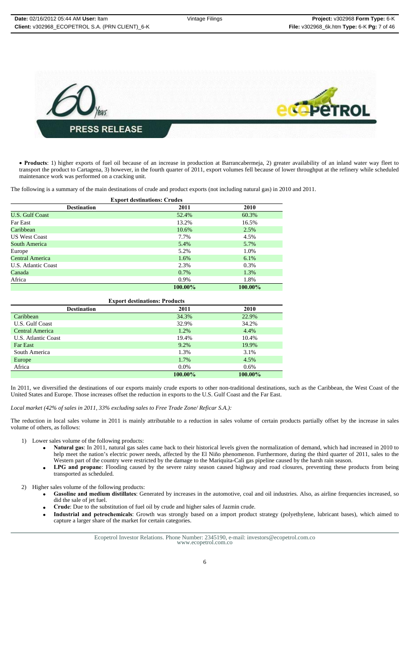

• **Products**: 1) higher exports of fuel oil because of an increase in production at Barrancabermeja, 2) greater availability of an inland water way fleet to transport the product to Cartagena, 3) however, in the fourth quarter of 2011, export volumes fell because of lower throughput at the refinery while scheduled maintenance work was performed on a cracking unit.

The following is a summary of the main destinations of crude and product exports (not including natural gas) in 2010 and 2011.

| <b>Export destinations: Crudes</b> |         |         |  |  |  |
|------------------------------------|---------|---------|--|--|--|
| <b>Destination</b>                 | 2011    | 2010    |  |  |  |
| <b>U.S. Gulf Coast</b>             | 52.4%   | 60.3%   |  |  |  |
| <b>Far East</b>                    | 13.2%   | 16.5%   |  |  |  |
| Caribbean                          | 10.6%   | 2.5%    |  |  |  |
| <b>US West Coast</b>               | 7.7%    | 4.5%    |  |  |  |
| South America                      | 5.4%    | 5.7%    |  |  |  |
| Europe                             | 5.2%    | 1.0%    |  |  |  |
| Central America                    | 1.6%    | 6.1%    |  |  |  |
| U.S. Atlantic Coast                | 2.3%    | 0.3%    |  |  |  |
| Canada                             | 0.7%    | 1.3%    |  |  |  |
| Africa                             | 0.9%    | 1.8%    |  |  |  |
|                                    | 100.00% | 100.00% |  |  |  |

| <b>Export destinations: Products</b> |         |         |  |  |
|--------------------------------------|---------|---------|--|--|
| <b>Destination</b>                   | 2011    | 2010    |  |  |
| Caribbean                            | 34.3%   | 22.9%   |  |  |
| U.S. Gulf Coast                      | 32.9%   | 34.2%   |  |  |
| <b>Central America</b>               | 1.2%    | 4.4%    |  |  |
| U.S. Atlantic Coast                  | 19.4%   | 10.4%   |  |  |
| <b>Far East</b>                      | 9.2%    | 19.9%   |  |  |
| South America                        | 1.3%    | 3.1%    |  |  |
| Europe                               | 1.7%    | 4.5%    |  |  |
| Africa                               | $0.0\%$ | $0.6\%$ |  |  |
|                                      | 100.00% | 100.00% |  |  |

In 2011, we diversified the destinations of our exports mainly crude exports to other non-traditional destinations, such as the Caribbean, the West Coast of the United States and Europe. Those increases offset the reduction in exports to the U.S. Gulf Coast and the Far East.

*Local market (42% of sales in 2011, 33% excluding sales to Free Trade Zone/ Reficar S.A.):*

The reduction in local sales volume in 2011 is mainly attributable to a reduction in sales volume of certain products partially offset by the increase in sales volume of others, as follows:

- 1) Lower sales volume of the following products:
	- **Natural gas**: In 2011, natural gas sales came back to their historical levels given the normalization of demand, which had increased in 2010 to help meet the nation's electric power needs, affected by the El Niño phenomenon. Furthermore, during the third quarter of 2011, sales to the Western part of the country were restricted by the damage to the Mariquita-Cali gas pipeline caused by the harsh rain season.
	- LPG and propane: Flooding caused by the severe rainy season caused highway and road closures, preventing these products from being transported as scheduled.
- 2) Higher sales volume of the following products:
	- **Gasoline and medium distillates**: Generated by increases in the automotive, coal and oil industries. Also, as airline frequencies increased, so did the sale of jet fuel.
		- **Crude**: Due to the substitution of fuel oil by crude and higher sales of Jazmin crude.
	- **Industrial and petrochemicals**: Growth was strongly based on a import product strategy (polyethylene, lubricant bases), which aimed to capture a larger share of the market for certain categories.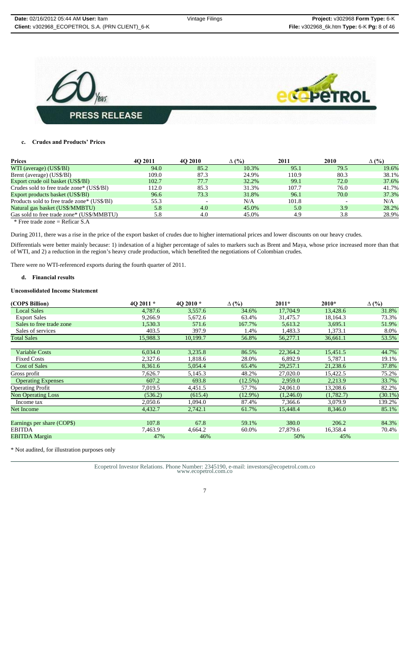

# **c. Crudes and Products' Prices**

| <b>Prices</b>                               | 40 2011 | 4O 2010 | $\Delta$ (%) | 2011  | 2010 | $\Delta$ (%) |
|---------------------------------------------|---------|---------|--------------|-------|------|--------------|
| WTI (average) (US\$/Bl)                     | 94.0    | 85.2    | 10.3%        | 95.1  | 79.5 | 19.6%        |
| Brent (average) (US\$/Bl)                   | 109.0   | 87.3    | 24.9%        | 110.9 | 80.3 | 38.1%        |
| Export crude oil basket (US\$/BI)           | 102.7   | 77.7    | 32.2%        | 99.1  | 72.0 | 37.6%        |
| Crudes sold to free trade zone* (US\$/Bl)   | 112.0   | 85.3    | 31.3%        | 107.7 | 76.0 | 41.7%        |
| Export products basket (US\$/BI)            | 96.6    | 73.3    | 31.8%        | 96.1  | 70.0 | 37.3%        |
| Products sold to free trade zone* (US\$/B1) | 55.3    |         | N/A          | 101.8 |      | N/A          |
| Natural gas basket (US\$/MMBTU)             | 5.8     | 4.0     | 45.0%        | 5.0   | 3.9  | 28.2%        |
| Gas sold to free trade zone* (US\$/MMBTU)   | 5.8     | 4.0     | 45.0%        | 4.9   | 3.8  | 28.9%        |

\* Free trade zone = Reficar S.A

During 2011, there was a rise in the price of the export basket of crudes due to higher international prices and lower discounts on our heavy crudes. Differentials were better mainly because: 1) indexation of a higher percentage of sales to markers such as Brent and Maya, whose price increased more than that of WTI, and 2) a reduction in the region's heavy crude production, which benefited the negotiations of Colombian crudes.

There were no WTI-referenced exports during the fourth quarter of 2011.

#### **d. Financial results**

#### **Unconsolidated Income Statement**

| (COPS Billion)             | 4O 2011 * | 4Q 2010* | $\Delta$ (%) | $2011*$   | $2010*$   | $\Delta$ (%) |
|----------------------------|-----------|----------|--------------|-----------|-----------|--------------|
| <b>Local Sales</b>         | 4,787.6   | 3,557.6  | 34.6%        | 17,704.9  | 13,428.6  | 31.8%        |
| <b>Export Sales</b>        | 9,266.9   | 5,672.6  | 63.4%        | 31,475.7  | 18.164.3  | 73.3%        |
| Sales to free trade zone   | 1,530.3   | 571.6    | 167.7%       | 5,613.2   | 3,695.1   | 51.9%        |
| Sales of services          | 403.5     | 397.9    | 1.4%         | 1,483.3   | 1,373.1   | 8.0%         |
| <b>Total Sales</b>         | 15,988.3  | 10,199.7 | 56.8%        | 56,277.1  | 36.661.1  | 53.5%        |
|                            |           |          |              |           |           |              |
| <b>Variable Costs</b>      | 6,034.0   | 3,235.8  | 86.5%        | 22,364.2  | 15,451.5  | 44.7%        |
| <b>Fixed Costs</b>         | 2,327.6   | 1,818.6  | 28.0%        | 6,892.9   | 5,787.1   | 19.1%        |
| <b>Cost of Sales</b>       | 8,361.6   | 5,054.4  | 65.4%        | 29,257.1  | 21,238.6  | 37.8%        |
| Gross profit               | 7,626.7   | 5,145.3  | 48.2%        | 27,020.0  | 15,422.5  | 75.2%        |
| <b>Operating Expenses</b>  | 607.2     | 693.8    | $(12.5\%)$   | 2,959.0   | 2,213.9   | 33.7%        |
| <b>Operating Profit</b>    | 7,019.5   | 4,451.5  | 57.7%        | 24,061.0  | 13,208.6  | 82.2%        |
| <b>Non Operating Loss</b>  | (536.2)   | (615.4)  | $(12.9\%)$   | (1,246.0) | (1,782.7) | $(30.1\%)$   |
| Income tax                 | 2,050.6   | 1,094.0  | 87.4%        | 7,366.6   | 3,079.9   | 139.2%       |
| Net Income                 | 4,432.7   | 2,742.1  | 61.7%        | 15,448.4  | 8,346.0   | 85.1%        |
|                            |           |          |              |           |           |              |
| Earnings per share (COP\$) | 107.8     | 67.8     | 59.1%        | 380.0     | 206.2     | 84.3%        |
| <b>EBITDA</b>              | 7,463.9   | 4,664.2  | 60.0%        | 27,879.6  | 16,358.4  | 70.4%        |
| <b>EBITDA</b> Margin       | 47%       | 46%      |              | 50%       | 45%       |              |

\* Not audited, for illustration purposes only

Ecopetrol Investor Relations. Phone Number: 2345190, e-mail: investors@ecopetrol.com.co www.ecopetrol.com.co

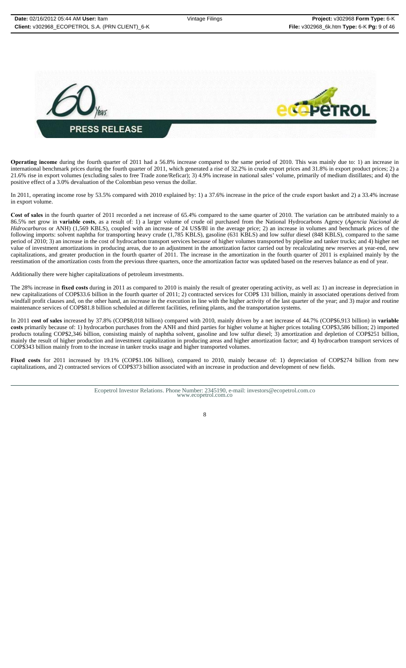

**Operating income** during the fourth quarter of 2011 had a 56.8% increase compared to the same period of 2010. This was mainly due to: 1) an increase in international benchmark prices during the fourth quarter of 2011, which generated a rise of 32.2% in crude export prices and 31.8% in export product prices; 2) a 21.6% rise in export volumes (excluding sales to free Trade zone/Reficar); 3) 4.9% increase in national sales' volume, primarily of medium distillates; and 4) the positive effect of a 3.0% devaluation of the Colombian peso versus the dollar.

In 2011, operating income rose by 53.5% compared with 2010 explained by: 1) a 37.6% increase in the price of the crude export basket and 2) a 33.4% increase in export volume.

**Cost of sales** in the fourth quarter of 2011 recorded a net increase of 65.4% compared to the same quarter of 2010. The variation can be attributed mainly to a 86.5% net grow in **variable costs**, as a result of: 1) a larger volume of crude oil purchased from the National Hydrocarbons Agency (*Agencia Nacional de Hidrocarburos* or ANH) (1,569 KBLS), coupled with an increase of 24 US\$/Bl in the average price; 2) an increase in volumes and benchmark prices of the following imports: solvent naphtha for transporting heavy crude (1,785 KBLS), gasoline (631 KBLS) and low sulfur diesel (848 KBLS), compared to the same period of 2010; 3) an increase in the cost of hydrocarbon transport services because of higher volumes transported by pipeline and tanker trucks; and 4) higher net value of investment amortizations in producing areas, due to an adjustment in the amortization factor carried out by recalculating new reserves at year-end, new capitalizations, and greater production in the fourth quarter of 2011. The increase in the amortization in the fourth quarter of 2011 is explained mainly by the reestimation of the amortization costs from the previous three quarters, once the amortization factor was updated based on the reserves balance as end of year.

Additionally there were higher capitalizations of petroleum investments.

The 28% increase in **fixed costs** during in 2011 as compared to 2010 is mainly the result of greater operating activity, as well as: 1) an increase in depreciation in new capitalizations of COP\$33.6 billion in the fourth quarter of 2011; 2) contracted services for COP\$ 131 billion, mainly in associated operations derived from windfall profit clauses and, on the other hand, an increase in the execution in line with the higher activity of the last quarter of the year; and 3) major and routine maintenance services of COP\$81.8 billion scheduled at different facilities, refining plants, and the transportation systems.

In 2011 **cost of sales** increased by 37.8% (COP\$8,018 billion) compared with 2010, mainly driven by a net increase of 44.7% (COP\$6,913 billion) in **variable costs** primarily because of: 1) hydrocarbon purchases from the ANH and third parties for higher volume at higher prices totaling COP\$3,586 billion; 2) imported products totaling COP\$2,346 billion, consisting mainly of naphtha solvent, gasoline and low sulfur diesel; 3) amortization and depletion of COP\$251 billion, mainly the result of higher production and investment capitalization in producing areas and higher amortization factor; and 4) hydrocarbon transport services of COP\$343 billion mainly from to the increase in tanker trucks usage and higher transported volumes.

**Fixed costs** for 2011 increased by 19.1% (COP\$1.106 billion), compared to 2010, mainly because of: 1) depreciation of COP\$274 billion from new capitalizations, and 2) contracted services of COP\$373 billion associated with an increase in production and development of new fields.

Ecopetrol Investor Relations. Phone Number: 2345190, e-mail: investors@ecopetrol.com.co www.ecopetrol.com.co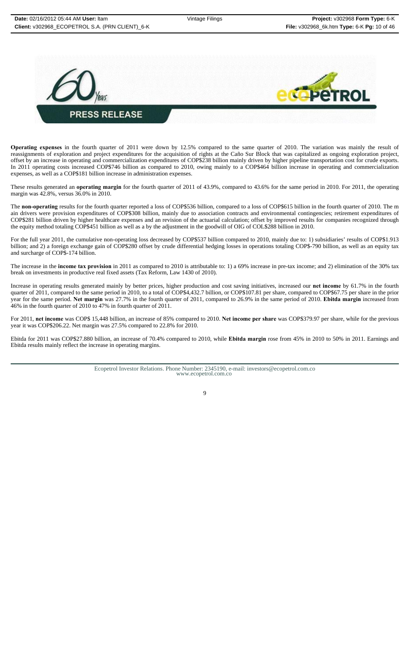

**Operating expenses** in the fourth quarter of 2011 were down by 12.5% compared to the same quarter of 2010. The variation was mainly the result of reassignments of exploration and project expenditures for the acquisition of rights at the Caño Sur Block that was capitalized as ongoing exploration project, offset by an increase in operating and commercialization expenditures of COP\$238 billion mainly driven by higher pipeline transportation cost for crude exports. In 2011 operating costs increased COP\$746 billion as compared to 2010, owing mainly to a COP\$464 billion increase in operating and commercialization expenses, as well as a COP\$181 billion increase in administration expenses.

These results generated an **operating margin** for the fourth quarter of 2011 of 43.9%, compared to 43.6% for the same period in 2010. For 2011, the operating margin was 42.8%, versus 36.0% in 2010.

The **non-operating** results for the fourth quarter reported a loss of COP\$536 billion, compared to a loss of COP\$615 billion in the fourth quarter of 2010. The m ain drivers were provision expenditures of COP\$308 billion, mainly due to association contracts and environmental contingencies; retirement expenditures of COP\$281 billion driven by higher healthcare expenses and an revision of the actuarial calculation; offset by improved results for companies recognized through the equity method totaling COP\$451 billion as well as a by the adjustment in the goodwill of OIG of COL\$288 billion in 2010.

For the full year 2011, the cumulative non-operating loss decreased by COP\$537 billion compared to 2010, mainly due to: 1) subsidiaries' results of COP\$1.913 billion; and 2) a foreign exchange gain of COP\$280 offset by crude differential hedging losses in operations totaling COP\$-790 billion, as well as an equity tax and surcharge of COP\$-174 billion.

The increase in the **income tax provision** in 2011 as compared to 2010 is attributable to: 1) a 69% increase in pre-tax income; and 2) elimination of the 30% tax break on investments in productive real fixed assets (Tax Reform, Law 1430 of 2010).

Increase in operating results generated mainly by better prices, higher production and cost saving initiatives, increased our **net income** by 61.7% in the fourth quarter of 2011, compared to the same period in 2010, to a total of COP\$4,432.7 billion, or COP\$107.81 per share, compared to COP\$67.75 per share in the prior year for the same period. **Net margin** was 27.7% in the fourth quarter of 2011, compared to 26.9% in the same period of 2010. **Ebitda margin** increased from 46% in the fourth quarter of 2010 to 47% in fourth quarter of 2011.

For 2011, **net income** was COP\$ 15,448 billion, an increase of 85% compared to 2010. **Net income per share** was COP\$379.97 per share, while for the previous year it was COP\$206.22. Net margin was 27.5% compared to 22.8% for 2010.

Ebitda for 2011 was COP\$27.880 billion, an increase of 70.4% compared to 2010, while **Ebitda margin** rose from 45% in 2010 to 50% in 2011. Earnings and Ebitda results mainly reflect the increase in operating margins.

Ecopetrol Investor Relations. Phone Number: 2345190, e-mail: investors@ecopetrol.com.co www.ecopetrol.com.co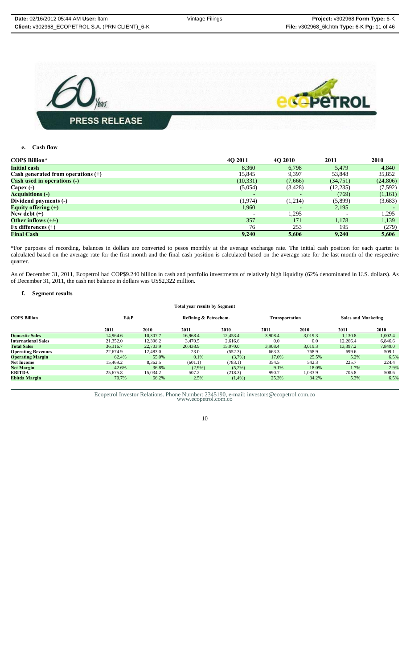

# **e. Cash flow**

| <b>COPS Billion*</b>                 | 40 2011                  | 4O 2010 | 2011      | 2010      |
|--------------------------------------|--------------------------|---------|-----------|-----------|
| <b>Initial cash</b>                  | 8,360                    | 6,798   | 5,479     | 4,840     |
| Cash generated from operations $(+)$ | 15,845                   | 9,397   | 53,848    | 35,852    |
| <b>Cash used in operations (-)</b>   | (10, 331)                | (7,666) | (34,751)  | (24, 806) |
| Capex $(-)$                          | (5,054)                  | (3,428) | (12, 235) | (7,592)   |
| <b>Acquisitions (-)</b>              | $\overline{\phantom{a}}$ |         | (769)     | (1,161)   |
| Dividend payments (-)                | (1,974)                  | (1,214) | (5,899)   | (3,683)   |
| Equity offering $(+)$                | 1,960                    |         | 2,195     |           |
| New debt $(+)$                       |                          | 1,295   |           | 1,295     |
| Other inflows $(+/-)$                | 357                      | 171     | 1,178     | 1,139     |
| $Fx$ differences $(+)$               | 76                       | 253     | 195       | (279)     |
| <b>Final Cash</b>                    | 9,240                    | 5,606   | 9,240     | 5,606     |

\*For purposes of recording, balances in dollars are converted to pesos monthly at the average exchange rate. The initial cash position for each quarter is calculated based on the average rate for the first month and the final cash position is calculated based on the average rate for the last month of the respective quarter.

As of December 31, 2011, Ecopetrol had COP\$9.240 billion in cash and portfolio investments of relatively high liquidity (62% denominated in U.S. dollars). As of December 31, 2011, the cash net balance in dollars was US\$2,322 million.

# **f. Segment results**

#### **Total year results by Segment**

| COP\$ Billion              | E&P      |          | Refining & Petrochem. |           | Transportation |         | <b>Sales and Marketing</b> |         |
|----------------------------|----------|----------|-----------------------|-----------|----------------|---------|----------------------------|---------|
|                            | 2011     | 2010     | 2011                  | 2010      | 2011           | 2010    | 2011                       | 2010    |
| <b>Domestic Sales</b>      | 14.964.6 | 10.307.7 | 16.968.4              | 12,453.4  | 3.908.4        | 3.019.3 | 1.130.8                    | 1.002.4 |
| <b>International Sales</b> | 21,352.0 | 12.396.2 | 3.470.5               | 2.616.6   | 0.0            | 0.0     | 12.266.4                   | 6.846.6 |
| <b>Total Sales</b>         | 36,316.7 | 22,703.9 | 20,438.9              | 15,070.0  | 3.908.4        | 3.019.3 | 13,397.2                   | 7,849.0 |
| <b>Operating Revenues</b>  | 22,674.9 | 12,483.0 | 23.0                  | (552.3)   | 663.3          | 768.9   | 699.6                      | 509.1   |
| <b>Operating Margin</b>    | 62.4%    | 55.0%    | 0.1%                  | $(3.7\%)$ | 17.0%          | 25.5%   | 5.2%                       | 6.5%    |
| Net Income                 | 15.469.2 | 8.362.5  | (601.1)               | (783.1)   | 354.5          | 542.3   | 225.7                      | 224.4   |
| <b>Net Margin</b>          | 42.6%    | 36.8%    | $(2.9\%)$             | $(5.2\%)$ | 9.1%           | 18.0%   | 1.7%                       | 2.9%    |
| EBITDA                     | 25,675.8 | 15,034.2 | 507.2                 | (218.3)   | 990.7          | 1.033.9 | 705.8                      | 508.6   |
| Ebitda Margin              | 70.7%    | 66.2%    | 2.5%                  | $(1,4\%)$ | 25.3%          | 34.2%   | 5.3%                       | 6.5%    |
|                            |          |          |                       |           |                |         |                            |         |

Ecopetrol Investor Relations. Phone Number: 2345190, e-mail: investors@ecopetrol.com.co www.ecopetrol.com.co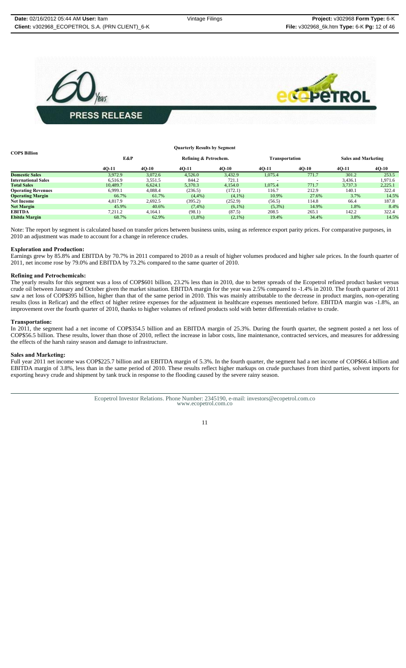

| COP\$ Billion              |          |         | <b>Quarterly Results by Segment</b> |                       |           |                |         |                            |  |
|----------------------------|----------|---------|-------------------------------------|-----------------------|-----------|----------------|---------|----------------------------|--|
|                            | E&P      |         |                                     | Refining & Petrochem. |           | Transportation |         | <b>Sales and Marketing</b> |  |
|                            | $4Q-11$  | $40-10$ | $40-11$                             | $40-10$               | $4Q-11$   | $40-10$        | $40-11$ | $4Q-10$                    |  |
| <b>Domestic Sales</b>      | 3.972.9  | 3.072.6 | 4,526.0                             | 3.432.9               | 1.075.4   | 771.7          | 301.2   | 253.5                      |  |
| <b>International Sales</b> | 6.516.9  | 3,551.5 | 844.2                               | 721.1                 |           |                | 3,436.1 | 1.971.6                    |  |
| <b>Total Sales</b>         | 10,489.7 | 6.624.1 | 5.370.3                             | 4.154.0               | 1.075.4   | 771.7          | 3.737.3 | 2.225.1                    |  |
| <b>Operating Revenues</b>  | 6.999.1  | 4.088.4 | (236.5)                             | (172.1)               | 116.7     | 212.9          | 140.1   | 322.4                      |  |
| <b>Operating Margin</b>    | 66.7%    | 61.7%   | (4,4% )                             | $(4,1\%)$             | 10.9%     | 27.6%          | 3.7%    | 14.5%                      |  |
| <b>Net Income</b>          | 4,817.9  | 2.692.5 | (395.2)                             | (252.9)               | (56.5)    | 114.8          | 66.4    | 187.8                      |  |
| <b>Net Margin</b>          | 45.9%    | 40.6%   | $(7,4\%)$                           | $(6.1\%)$             | $(5,3\%)$ | 14.9%          | 1.8%    | 8.4%                       |  |
| <b>EBITDA</b>              | 7.211.2  | 4.164.1 | (98.1)                              | (87.5)                | 208.5     | 265.1          | 142.2   | 322.4                      |  |
| Ebitda Margin              | 68.7%    | 62.9%   | $(1,8\%)$                           | $(2,1\%)$             | 19.4%     | 34.4%          | 3.8%    | 14.5%                      |  |

Note: The report by segment is calculated based on transfer prices between business units, using as reference export parity prices. For comparative purposes, in 2010 an adjustment was made to account for a change in reference crudes.

#### **Exploration and Production:**

Earnings grew by 85.8% and EBITDA by 70.7% in 2011 compared to 2010 as a result of higher volumes produced and higher sale prices. In the fourth quarter of 2011, net income rose by 79.0% and EBITDA by 73.2% compared to the same quarter of 2010.

#### **Refining and Petrochemicals:**

The yearly results for this segment was a loss of COP\$601 billion, 23.2% less than in 2010, due to better spreads of the Ecopetrol refined product basket versus crude oil between January and October given the market situation. EBITDA margin for the year was 2.5% compared to -1.4% in 2010. The fourth quarter of 2011 saw a net loss of COP\$395 billion, higher than that of the same period in 2010. This was mainly attributable to the decrease in product margins, non-operating results (loss in Reficar) and the effect of higher retiree expenses for the adjustment in healthcare expenses mentioned before. EBITDA margin was -1.8%, an improvement over the fourth quarter of 2010, thanks to higher volumes of refined products sold with better differentials relative to crude.

#### **Transportation:**

In 2011, the segment had a net income of COP\$354.5 billion and an EBITDA margin of 25.3%. During the fourth quarter, the segment posted a net loss of COP\$56.5 billion. These results, lower than those of 2010, reflect the increase in labor costs, line maintenance, contracted services, and measures for addressing the effects of the harsh rainy season and damage to infrastructure.

#### **Sales and Marketing:**

Full year 2011 net income was COP\$225.7 billion and an EBITDA margin of 5.3%. In the fourth quarter, the segment had a net income of COP\$66.4 billion and EBITDA margin of 3.8%, less than in the same period of 2010. These results reflect higher markups on crude purchases from third parties, solvent imports for exporting heavy crude and shipment by tank truck in response to the flooding caused by the severe rainy season.

Ecopetrol Investor Relations. Phone Number: 2345190, e-mail: investors@ecopetrol.com.co www.ecopetrol.com.co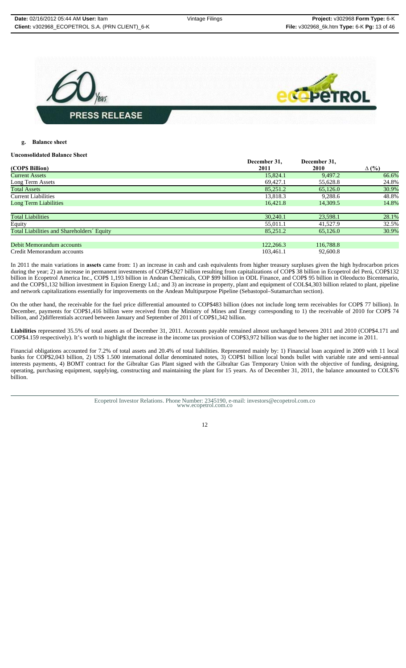

# **g. Balance sheet**

#### **Unconsolidated Balance Sheet**

|                                            | December 31. | December 31, |              |
|--------------------------------------------|--------------|--------------|--------------|
| (COP\$ Billion)                            | 2011         | 2010         | $\Delta$ (%) |
| <b>Current Assets</b>                      | 15,824.1     | 9,497.2      | 66.6%        |
| Long Term Assets                           | 69,427.1     | 55,628.8     | 24.8%        |
| <b>Total Assets</b>                        | 85,251.2     | 65,126.0     | 30.9%        |
| Current Liabilities                        | 13,818.3     | 9,288.6      | 48.8%        |
| <b>Long Term Liabilities</b>               | 16.421.8     | 14,309.5     | 14.8%        |
| <b>Total Liabilities</b>                   | 30,240.1     | 23,598.1     | 28.1%        |
| Equity                                     | 55,011.1     | 41,527.9     | 32.5%        |
| Total Liabilities and Shareholders' Equity | 85,251.2     | 65,126.0     | 30.9%        |
| Debit Memorandum accounts                  | 122,266.3    | 116,788.8    |              |
| Credit Memorandum accounts                 | 103.461.1    | 92,600.8     |              |

In 2011 the main variations in **assets** came from: 1) an increase in cash and cash equivalents from higher treasury surpluses given the high hydrocarbon prices during the year; 2) an increase in permanent investments of COP\$4,927 billion resulting from capitalizations of COP\$ 38 billion in Ecopetrol del Perú, COP\$132 billion in Ecopetrol America Inc., COP\$ 1,193 billion in Andean Chemicals, COP \$99 billion in ODL Finance, and COP\$ 95 billion in Oleoducto Bicentenario, and the COP\$1,132 billion investment in Equion Energy Ltd.; and 3) an increase in property, plant and equipment of COL\$4,303 billion related to plant, pipeline and network capitalizations essentially for improvements on the Andean Multipurpose Pipeline (Sebastopol–Sutamarchan section).

On the other hand, the receivable for the fuel price differential amounted to COP\$483 billion (does not include long term receivables for COP\$ 77 billion). In December, payments for COP\$1,416 billion were received from the Ministry of Mines and Energy corresponding to 1) the receivable of 2010 for COP\$ 74 billion, and 2)differentials accrued between January and September of 2011 of COP\$1,342 billion.

**Liabilities** represented 35.5% of total assets as of December 31, 2011. Accounts payable remained almost unchanged between 2011 and 2010 (COP\$4.171 and COP\$4.159 respectively). It's worth to highlight the increase in the income tax provision of COP\$3,972 billion was due to the higher net income in 2011.

Financial obligations accounted for 7.2% of total assets and 20.4% of total liabilities. Represented mainly by: 1) Financial loan acquired in 2009 with 11 local banks for COP\$2,043 billion, 2) US\$ 1.500 international dollar denominated notes, 3) COP\$1 billion local bonds bullet with variable rate and semi-annual interests payments, 4) BOMT contract for the Gibraltar Gas Plant signed with the Gibraltar Gas Temporary Union with the objective of funding, designing, operating, purchasing equipment, supplying, constructing and maintaining the plant for 15 years. As of December 31, 2011, the balance amounted to COL\$76 billion.

> Ecopetrol Investor Relations. Phone Number: 2345190, e-mail: investors@ecopetrol.com.co www.ecopetrol.com.co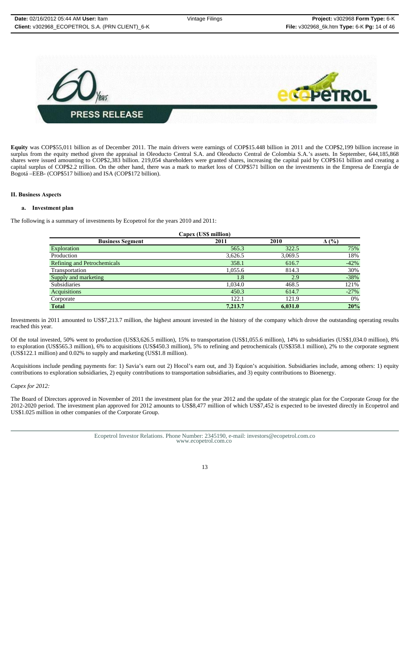

**Equity** was COP\$55,011 billion as of December 2011. The main drivers were earnings of COP\$15.448 billion in 2011 and the COP\$2,199 billion increase in surplus from the equity method given the appraisal in Oleoducto Central S.A. and Oleoducto Central de Colombia S.A.'s assets. In September, 644,185,868 shares were issued amounting to COP\$2,383 billion. 219,054 shareholders were granted shares, increasing the capital paid by COP\$161 billion and creating a capital surplus of COP\$2.2 trillion. On the other hand, there was a mark to market loss of COP\$571 billion on the investments in the Empresa de Energía de Bogotá –EEB- (COP\$517 billion) and ISA (COP\$172 billion).

#### **II. Business Aspects**

#### **a. Investment plan**

The following is a summary of investments by Ecopetrol for the years 2010 and 2011:

| Capex (US\$ million)               |         |         |              |  |  |
|------------------------------------|---------|---------|--------------|--|--|
| <b>Business Segment</b>            | 2011    | 2010    | $\Delta$ (%) |  |  |
| Exploration                        | 565.3   | 322.5   | 75%          |  |  |
| Production                         | 3,626.5 | 3,069.5 | 18%          |  |  |
| <b>Refining and Petrochemicals</b> | 358.1   | 616.7   | $-42%$       |  |  |
| Transportation                     | 1,055.6 | 814.3   | 30%          |  |  |
| Supply and marketing               | 1.8     | 2.9     | $-38%$       |  |  |
| <b>Subsidiaries</b>                | 1,034.0 | 468.5   | 121%         |  |  |
| Acquisitions                       | 450.3   | 614.7   | $-27%$       |  |  |
| Corporate                          | 122.1   | 121.9   | 0%           |  |  |
| <b>Total</b>                       | 7,213.7 | 6.031.0 | 20%          |  |  |

Investments in 2011 amounted to US\$7,213.7 million, the highest amount invested in the history of the company which drove the outstanding operating results reached this year.

Of the total invested, 50% went to production (US\$3,626.5 million), 15% to transportation (US\$1,055.6 million), 14% to subsidiaries (US\$1,034.0 million), 8% to exploration (US\$565.3 million), 6% to acquisitions (US\$450.3 million), 5% to refining and petrochemicals (US\$358.1 million), 2% to the corporate segment (US\$122.1 million) and 0.02% to supply and marketing (US\$1.8 million).

Acquisitions include pending payments for: 1) Savia's earn out 2) Hocol's earn out, and 3) Equion's acquisition. Subsidiaries include, among others: 1) equity contributions to exploration subsidiaries, 2) equity contributions to transportation subsidiaries, and 3) equity contributions to Bioenergy.

# *Capex for 2012:*

The Board of Directors approved in November of 2011 the investment plan for the year 2012 and the update of the strategic plan for the Corporate Group for the 2012-2020 period. The investment plan approved for 2012 amounts to US\$8,477 million of which US\$7,452 is expected to be invested directly in Ecopetrol and US\$1.025 million in other companies of the Corporate Group.

Ecopetrol Investor Relations. Phone Number: 2345190, e-mail: investors@ecopetrol.com.co www.ecopetrol.com.co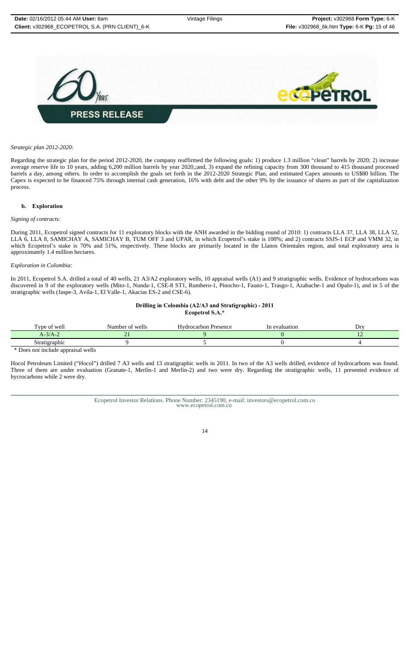

#### *Strategic plan 2012-2020:*

Regarding the strategic plan for the period 2012-2020, the company reaffirmed the following goals: 1) produce 1.3 million "clean" barrels by 2020; 2) increase average reserve life to 10 years, adding 6,200 million barrels by year 2020,;and, 3) expand the refining capacity from 300 thousand to 415 thousand processed barrels a day, among others. In order to accomplish the goals set forth in the 2012-2020 Strategic Plan, and estimated Capex amounts to US\$80 billion. The Capex is expected to be financed 75% through internal cash generation, 16% with debt and the other 9% by the issuance of shares as part of the capitalization process.

#### **b. Exploration**

#### *Signing of contracts:*

During 2011, Ecopetrol signed contracts for 11 exploratory blocks with the ANH awarded in the bidding round of 2010: 1) contracts LLA 37, LLA 38, LLA 52, LLA 6, LLA 8, SAMICHAY A, SAMICHAY B, TUM OFF 3 and UPAR, in which Ecopetrol's stake is 100%; and 2) contracts SSJS-1 ECP and VMM 32, in which Ecopetrol's stake is 70% and 51%, respectively. These blocks are primarily located in the Llanos Orientales region, and total exploratory area is approximately 1.4 million hectares.

#### *Exploration in Colombia:*

In 2011, Ecopetrol S.A. drilled a total of 40 wells, 21 A3/A2 exploratory wells, 10 appraisal wells (A1) and 9 stratigraphic wells. Evidence of hydrocarbons was discovered in 9 of the exploratory wells (Mito-1, Nunda-1, CSE-8 ST1, Rumbero-1, Pinocho-1, Fauno-1, Trasgo-1, Azabache-1 and Opalo-1), and in 5 of the stratigraphic wells (Jaspe-3, Avila-1, El Valle-1, Akacias ES-2 and CSE-6).

#### **Drilling in Colombia (A2/A3 and Stratigraphic) - 2011 Ecopetrol S.A.\***

| $\sim$<br>$\mathbf{m}$<br>of weli | . .<br>Number of wells | $-1$<br>Hydrocarbon Presence | In evaluation | Dr |
|-----------------------------------|------------------------|------------------------------|---------------|----|
| $A-3/A-2$                         | .                      |                              |               |    |
| Stratigraphic                     |                        |                              |               |    |
| . .                               | $\sim$                 |                              |               |    |

Does not include appraisal wells

Hocol Petroleum Limited ("Hocol") drilled 7 A3 wells and 13 stratigraphic wells in 2011. In two of the A3 wells drilled, evidence of hydrocarbons was found. Three of them are under evaluation (Granate-1, Merlín-1 and Merlín-2) and two were dry. Regarding the stratigraphic wells, 11 presented evidence of hycrocarbons while 2 were dry.

Ecopetrol Investor Relations. Phone Number: 2345190, e-mail: investors@ecopetrol.com.co www.ecopetrol.com.co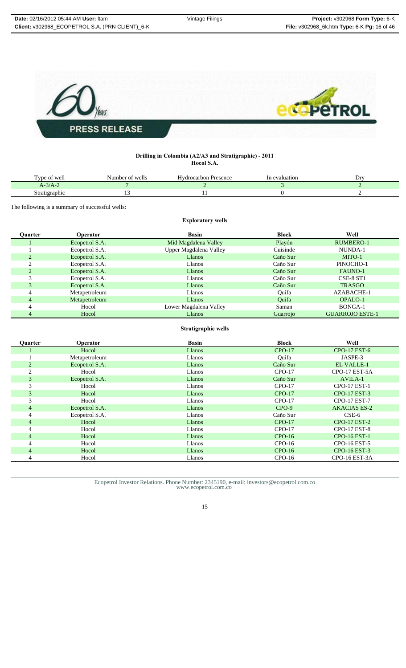

# **Drilling in Colombia (A2/A3 and Stratigraphic) - 2011 Hocol S.A.**

| $\sim$<br>vne<br>of well | Number of wells | $-$<br>Hvdrocarbon<br>Presence | evaluation | Dr |
|--------------------------|-----------------|--------------------------------|------------|----|
| $\sim$ $\sim$<br>A-3/A-. |                 |                                |            |    |
| Stratigraphic<br>. .     |                 |                                |            |    |

The following is a summary of successful wells:

# **Exploratory wells**

| Ouarter | <b>Operator</b> | <b>Basin</b>           | <b>Block</b> | Well                   |
|---------|-----------------|------------------------|--------------|------------------------|
|         | Ecopetrol S.A.  | Mid Magdalena Valley   | Playón       | <b>RUMBERO-1</b>       |
|         | Ecopetrol S.A.  | Upper Magdalena Valley | Cuisinde     | NUNDA-1                |
|         | Ecopetrol S.A.  | Llanos                 | Caño Sur     | MITO-1                 |
| ◠       | Ecopetrol S.A.  | Llanos                 | Caño Sur     | PINOCHO-1              |
|         | Ecopetrol S.A.  | <b>Llanos</b>          | Caño Sur     | FAUNO-1                |
| 3       | Ecopetrol S.A.  | Llanos                 | Caño Sur     | CSE-8 ST1              |
| 3       | Ecopetrol S.A.  | <b>Llanos</b>          | Caño Sur     | <b>TRASGO</b>          |
|         | Metapetroleum   | Llanos                 | Ouifa        | <b>AZABACHE-1</b>      |
|         | Metapetroleum   | <b>Llanos</b>          | Ouifa        | OPALO-1                |
|         | Hocol           | Lower Magdalena Valley | Saman        | BONGA-1                |
|         | Hocol           | Llanos                 | Guarrojo     | <b>GUARROJO ESTE-1</b> |

# **Stratigraphic wells**

| Quarter        | Operator       | <b>Basin</b>  | <b>Block</b>  | Well                |
|----------------|----------------|---------------|---------------|---------------------|
|                | Hocol          | Llanos        | <b>CPO-17</b> | <b>CPO-17 EST-6</b> |
|                | Metapetroleum  | Llanos        | Ouifa         | JASPE-3             |
| $\overline{2}$ | Ecopetrol S.A. | Llanos        | Caño Sur      | <b>EL VALLE-1</b>   |
| 2              | Hocol          | Llanos        | $CPO-17$      | CPO-17 EST-5A       |
| 3              | Ecopetrol S.A. | <b>Llanos</b> | Caño Sur      | AVILA-1             |
| 3              | Hocol          | Llanos        | $CPO-17$      | <b>CPO-17 EST-1</b> |
| 3              | Hocol          | Llanos        | $CPO-17$      | CPO-17 EST-3        |
| 3              | Hocol          | Llanos        | $CPO-17$      | <b>CPO-17 EST-7</b> |
| $\overline{4}$ | Ecopetrol S.A. | Llanos        | CPO-9         | <b>AKACIAS ES-2</b> |
|                | Ecopetrol S.A. | Llanos        | Caño Sur      | $CSE-6$             |
| $\overline{4}$ | Hocol          | <b>Llanos</b> | $CPO-17$      | <b>CPO-17 EST-2</b> |
| 4              | Hocol          | Llanos        | $CPO-17$      | <b>CPO-17 EST-8</b> |
| $\overline{4}$ | Hocol          | <b>Llanos</b> | $CPO-16$      | <b>CPO-16 EST-1</b> |
| 4              | Hocol          | Llanos        | $CPO-16$      | CPO-16 EST-5        |
| $\overline{4}$ | Hocol          | Llanos        | $CPO-16$      | CPO-16 EST-3        |
|                | Hocol          | Llanos        | $CPO-16$      | CPO-16 EST-3A       |
|                |                |               |               |                     |

Ecopetrol Investor Relations. Phone Number: 2345190, e-mail: investors@ecopetrol.com.co www.ecopetrol.com.co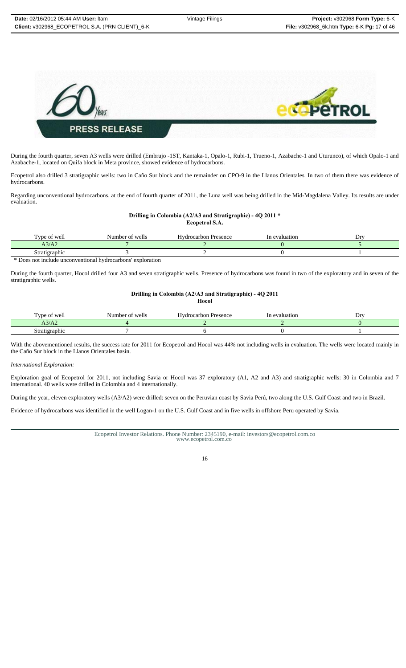

During the fourth quarter, seven A3 wells were drilled (Embrujo -1ST, Kantaka-1, Opalo-1, Rubi-1, Trueno-1, Azabache-1 and Uturunco), of which Opalo-1 and Azabache-1, located on Quifa block in Meta province, showed evidence of hydrocarbons.

Ecopetrol also drilled 3 stratigraphic wells: two in Caño Sur block and the remainder on CPO-9 in the Llanos Orientales. In two of them there was evidence of hydrocarbons.

Regarding unconventional hydrocarbons, at the end of fourth quarter of 2011, the Luna well was being drilled in the Mid-Magdalena Valley. Its results are under evaluation.

# **Drilling in Colombia (A2/A3 and Stratigraphic) - 4Q 2011 \***

**Ecopetrol S.A.**

| l vpe of well                                                  | Number of wells | Hydrocarbon Presence | In evaluation | Drv |
|----------------------------------------------------------------|-----------------|----------------------|---------------|-----|
| A3/A2                                                          |                 |                      |               |     |
| Stratigraphic                                                  |                 |                      |               |     |
| * Does not include unconventional hydrocarbons'<br>exploration |                 |                      |               |     |

During the fourth quarter, Hocol drilled four A3 and seven stratigraphic wells. Presence of hydrocarbons was found in two of the exploratory and in seven of the stratigraphic wells.

# **Drilling in Colombia (A2/A3 and Stratigraphic) - 4Q 2011**

**Hocol**

| œ<br>wel<br>vne<br>vi                  | wells<br>Number<br>$\sim$<br>$\cdots$ | Hvdrocarbon<br><b>Presence</b> | evaluation | Drv<br>- |
|----------------------------------------|---------------------------------------|--------------------------------|------------|----------|
| 1211<br>A3.<br>$\sqrt{2}$              |                                       |                                |            |          |
| $-0.0000$<br>radnic<br><b>S</b> trativ |                                       |                                |            |          |

With the abovementioned results, the success rate for 2011 for Ecopetrol and Hocol was 44% not including wells in evaluation. The wells were located mainly in the Caño Sur block in the Llanos Orientales basin.

*International Exploration:*

Exploration goal of Ecopetrol for 2011, not including Savia or Hocol was 37 exploratory (A1, A2 and A3) and stratigraphic wells: 30 in Colombia and 7 international. 40 wells were drilled in Colombia and 4 internationally.

During the year, eleven exploratory wells (A3/A2) were drilled: seven on the Peruvian coast by Savia Perú, two along the U.S. Gulf Coast and two in Brazil.

Evidence of hydrocarbons was identified in the well Logan-1 on the U.S. Gulf Coast and in five wells in offshore Peru operated by Savia.

Ecopetrol Investor Relations. Phone Number: 2345190, e-mail: investors@ecopetrol.com.co www.ecopetrol.com.co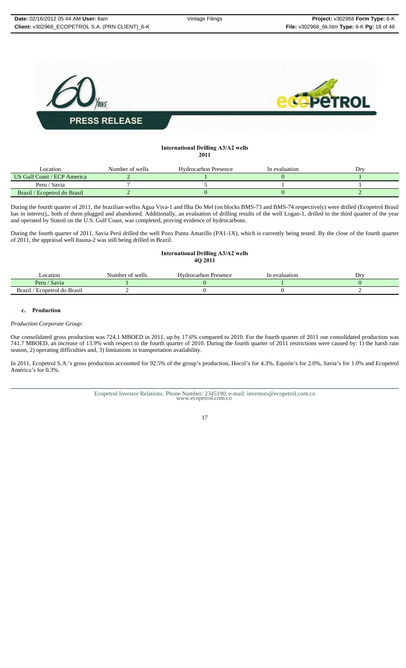

# **International Drilling A3/A2 wells 2011**

| Location                     | Number of wells | Hydrocarbon Presence | In evaluation | Drv |
|------------------------------|-----------------|----------------------|---------------|-----|
| US Gulf Coast / ECP America  |                 |                      |               |     |
| Peru / Savia                 |                 |                      |               |     |
| Brazil / Ecopetrol do Brasil |                 |                      |               |     |

During the fourth quarter of 2011, the brazilian wellss Agua Viva-1 and Ilha Do Mel (on blocks BMS-73 and BMS-74 respectively) were drilled (Ecopetrol Brasil has in interest),, both of them plugged and abandoned. Additionally, an evaluation of drilling results of the well Logan-1, drilled in the third quarter of the year and operated by Statoil on the U.S. Gulf Coast, was completed, proving evidence of hydrocarbons.

During the fourth quarter of 2011, Savia Perú drilled the well Pozo Punta Amarillo (PA1-1X), which is currently being tested. By the close of the fourth quarter of 2011, the appraisal well Itauna-2 was still being drilled in Brazil.

### **International Drilling A3/A2 wells 4Q 2011**

| ocation                       | Number of wells | Hvdrocarbon<br>Presence | evaluation | $Dr^{r}$ |
|-------------------------------|-----------------|-------------------------|------------|----------|
| ' Savia<br>$P$ eru            |                 |                         |            |          |
| Ecopetrol do Brasil<br>Brazil |                 |                         |            |          |

# **c. Production**

*Production Corporate Group:*

Our consolidated gross production was 724.1 MBOED in 2011, up by 17.6% compared to 2010. For the fourth quarter of 2011 our consolidated production was 741.7 MBOED, an increase of 13.9% with respect to the fourth quarter of 2010. During the fourth quarter of 2011 restrictions were caused by: 1) the harsh rain 741.7 MBOED, an increase of 13.9% with respect to the fourth qu season, 2) operating difficulties and, 3) limitations in transportation availability.

In 2011, Ecopetrol S.A.'s gross production accounted for 92.5% of the group's production, Hocol's for 4.3%, Equión's for 2.0%, Savia's for 1.0% and Ecopetrol América's for 0.3%.

Ecopetrol Investor Relations. Phone Number: 2345190, e-mail: investors@ecopetrol.com.co www.ecopetrol.com.co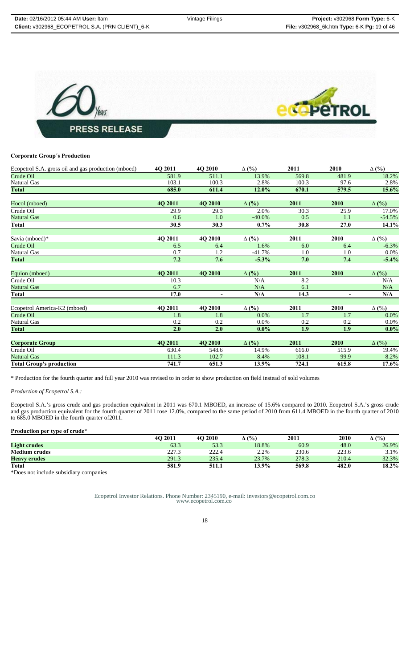

### **Corporate Group´s Production**

| Ecopetrol S.A. gross oil and gas production (mboed) | 4Q 2011 | 4Q 2010        | $\Delta$ (%) | 2011  | 2010           | $\Delta$ (%) |
|-----------------------------------------------------|---------|----------------|--------------|-------|----------------|--------------|
| Crude Oil                                           | 581.9   | 511.1          | 13.9%        | 569.8 | 481.9          | 18.2%        |
| <b>Natural Gas</b>                                  | 103.1   | 100.3          | 2.8%         | 100.3 | 97.6           | 2.8%         |
| Total                                               | 685.0   | 611.4          | 12.0%        | 670.1 | 579.5          | 15.6%        |
| Hocol (mboed)                                       | 4Q 2011 | 4Q 2010        | $\Delta$ (%) | 2011  | 2010           | $\Delta$ (%) |
| Crude Oil                                           | 29.9    | 29.3           | 2.0%         | 30.3  | 25.9           | 17.0%        |
| <b>Natural Gas</b>                                  | 0.6     | 1.0            | $-40.0\%$    | 0.5   | 1.1            | $-54.5%$     |
| Total                                               | 30.5    | 30.3           | $0.7\%$      | 30.8  | 27.0           | 14.1%        |
| Savia (mboed)*                                      | 4Q 2011 | 4Q 2010        | $\Delta$ (%) | 2011  | 2010           | $\Delta$ (%) |
| Crude Oil                                           | 6.5     | 6.4            | 1.6%         | 6.0   | 6.4            | $-6.3%$      |
| <b>Natural Gas</b>                                  | 0.7     | 1.2            | $-41.7%$     | 1.0   | 1.0            | $0.0\%$      |
| <b>Total</b>                                        | 7.2     | 7.6            | $-5.3%$      | 7.0   | 7.4            | $-5.4%$      |
| Equion (mboed)                                      | 4Q 2011 | 4Q 2010        | $\Delta$ (%) | 2011  | 2010           | $\Delta$ (%) |
| Crude Oil                                           | 10.3    |                | N/A          | 8.2   |                | N/A          |
| <b>Natural Gas</b>                                  | 6.7     |                | N/A          | 6.1   |                | N/A          |
| <b>Total</b>                                        | 17.0    | $\blacksquare$ | N/A          | 14.3  | $\blacksquare$ | N/A          |
| Ecopetrol America-K2 (mboed)                        | 4Q 2011 | 4Q 2010        | $\Delta$ (%) | 2011  | 2010           | $\Delta$ (%) |
| Crude Oil                                           | 1.8     | 1.8            | 0.0%         | 1.7   | 1.7            | $0.0\%$      |
| <b>Natural Gas</b>                                  | 0.2     | 0.2            | 0.0%         | 0.2   | 0.2            | $0.0\%$      |
| Total                                               | 2.0     | 2.0            | $0.0\%$      | 1.9   | 1.9            | $0.0\%$      |
| <b>Corporate Group</b>                              | 4Q 2011 | 4Q 2010        | $\Delta$ (%) | 2011  | 2010           | $\Delta$ (%) |
| Crude Oil                                           | 630.4   | 548.6          | 14.9%        | 616.0 | 515.9          | 19.4%        |
| <b>Natural Gas</b>                                  | 111.3   | 102.7          | 8.4%         | 108.1 | 99.9           | 8.2%         |
| <b>Total Group's production</b>                     | 741.7   | 651.3          | 13.9%        | 724.1 | 615.8          | 17.6%        |

\* Production for the fourth quarter and full year 2010 was revised to in order to show production on field instead of sold volumes

# *Production of Ecopetrol S.A.:*

Ecopetrol S.A.'s gross crude and gas production equivalent in 2011 was 670.1 MBOED, an increase of 15.6% compared to 2010. Ecopetrol S.A.'s gross crude and gas production equivalent for the fourth quarter of 2011 rose 12.0%, compared to the same period of 2010 from 611.4 MBOED in the fourth quarter of 2010 to 685.0 MBOED in the fourth quarter of2011.

# **Production per type of crude\***

|                                        | <b>4O 2011</b> | 4O 2010 | (%)      | 2011  | 2010  | $^{\circ}$ (%)<br>Δ |
|----------------------------------------|----------------|---------|----------|-------|-------|---------------------|
| <b>Light crudes</b>                    | 63.3           | 53.3    | 18.8%    | 60.9  | 48.0  | 26.9%               |
| <b>Medium crudes</b>                   | 227.3          | 222.4   | 2.2%     | 230.6 | 223.6 | 3.1%                |
| <b>Heavy crudes</b>                    | 291.3          | 235.4   | 23.7%    | 278.3 | 210.4 | 32.3%               |
| Total                                  | 581.9          | 511.1   | $13.9\%$ | 569.8 | 482.0 | 18.2%               |
| *Does not include subsidiary companies |                |         |          |       |       |                     |

Ecopetrol Investor Relations. Phone Number: 2345190, e-mail: investors@ecopetrol.com.co www.ecopetrol.com.co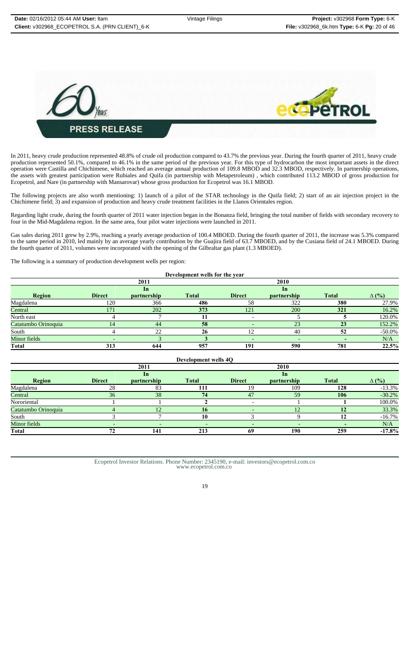

In 2011, heavy crude production represented 48.8% of crude oil production compared to 43.7% the previous year. During the fourth quarter of 2011, heavy crude production represented 50.1%, compared to 46.1% in the same period of the previous year. For this type of hydrocarbon the most important assets in the direct operation were Castilla and Chichimene, which reached an average annual production of 109.8 MBOD and 32.3 MBOD, respectively. In partnership operations, the assets with greatest participation were Rubiales and Quifa (in partnership with Metapetroleum) , which contributed 113.2 MBOD of gross production for Ecopetrol, and Nare (in partnership with Mansarovar) whose gross production for Ecopetrol was 16.1 MBOD.

The following projects are also worth mentioning: 1) launch of a pilot of the STAR technology in the Quifa field; 2) start of an air injection project in the Chichimene field; 3) and expansion of production and heavy crude treatment facilities in the Llanos Orientales region.

Regarding light crude, during the fourth quarter of 2011 water injection began in the Bonanza field, bringing the total number of fields with secondary recovery to four in the Mid-Magdalena region. In the same area, four pilot water injections were launched in 2011.

Gas sales during 2011 grew by 2.9%, reaching a yearly average production of 100.4 MBOED. During the fourth quarter of 2011, the increase was 5.3% compared to the same period in 2010, led mainly by an average yearly contribution by the Guajira field of 63.7 MBOED, and by the Cusiana field of 24.1 MBOED. During the fourth quarter of 2011, volumes were incorporated with the opening of the Gilbraltar gas plant (1.3 MBOED).

The following is a summary of production development wells per region:

| Development wells for the year |               |             |              |                          |             |              |              |  |  |
|--------------------------------|---------------|-------------|--------------|--------------------------|-------------|--------------|--------------|--|--|
|                                |               | 2011        |              |                          | 2010        |              |              |  |  |
|                                |               | 1n          |              |                          | 1n          |              |              |  |  |
| Region                         | <b>Direct</b> | partnership | <b>Total</b> | <b>Direct</b>            | partnership | <b>Total</b> | $\Delta$ (%) |  |  |
| Magdalena                      | 120           | 366         | 486          | 58                       | 322         | 380          | 27.9%        |  |  |
| Central                        | 171           | 202         | 373          | 121                      | 200         | 321          | 16.2%        |  |  |
| North east                     |               |             |              |                          |             |              | 120.0%       |  |  |
| Catatumbo Orinoquia            | 14            | 44          | 58           |                          | 23          | 23           | 152.2%       |  |  |
| South                          |               | 22          | 26           | 12                       | 40          | 52           | $-50.0\%$    |  |  |
| Minor fields                   |               |             |              | $\overline{\phantom{a}}$ | -           |              | N/A          |  |  |
| <b>Total</b>                   | 313           | 644         | 957          | 191                      | 590         | 781          | 22.5%        |  |  |

| Development wells 4O |               |                          |              |                          |                          |                          |              |  |  |
|----------------------|---------------|--------------------------|--------------|--------------------------|--------------------------|--------------------------|--------------|--|--|
|                      |               | 2011                     |              |                          | 2010                     |                          |              |  |  |
|                      |               | In                       |              |                          | In                       |                          |              |  |  |
| <b>Region</b>        | <b>Direct</b> | <i>partnership</i>       | <b>Total</b> | <b>Direct</b>            | partnership              | <b>Total</b>             | $\Delta$ (%) |  |  |
| Magdalena            | 28            | 83                       | 111          | 19                       | 109                      | 128                      | $-13.3%$     |  |  |
| Central              | 36            | 38                       | 74           | 47                       | 59                       | 106                      | $-30.2%$     |  |  |
| Nororiental          |               |                          |              |                          |                          |                          | 100.0%       |  |  |
| Catatumbo Orinoquia  |               | 12                       | 16           |                          | 12                       | 12                       | 33.3%        |  |  |
| South                |               |                          | 10           |                          |                          | 12                       | $-16.7\%$    |  |  |
| Minor fields         |               | $\overline{\phantom{a}}$ | $-$          | $\overline{\phantom{0}}$ | $\overline{\phantom{0}}$ | $\overline{\phantom{0}}$ | N/A          |  |  |
| <b>Total</b>         | 72            | 141                      | 213          | 69                       | 190                      | 259                      | $-17.8%$     |  |  |

Ecopetrol Investor Relations. Phone Number: 2345190, e-mail: investors@ecopetrol.com.co www.ecopetrol.com.co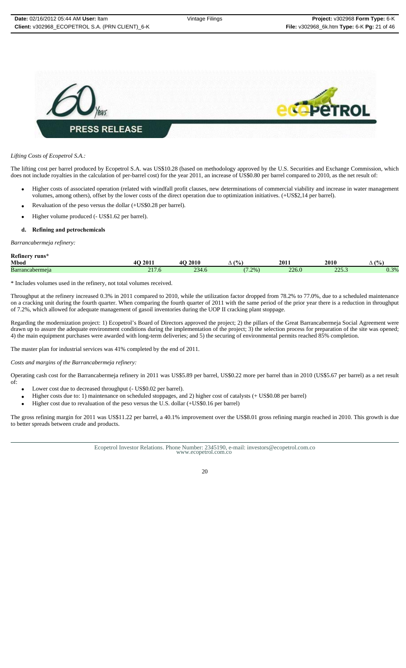

#### *Lifting Costs of Ecopetrol S.A.:*

The lifting cost per barrel produced by Ecopetrol S.A. was US\$10.28 (based on methodology approved by the U.S. Securities and Exchange Commission, which does not include royalties in the calculation of per-barrel cost) for the year 2011, an increase of US\$0.80 per barrel compared to 2010, as the net result of:

- Higher costs of associated operation (related with windfall profit clauses, new determinations of commercial viability and increase in water management volumes, among others), offset by the lower costs of the direct operation due to optimization initiatives. (+US\$2,14 per barrel).
- Revaluation of the peso versus the dollar (+US\$0.28 per barrel).
- Higher volume produced (- US\$1.62 per barrel).
- **d. Refining and petrochemicals**

*Barrancabermeja refinery:*

**Refinery runs\***

| Mbod            | 201<br>$\sim$<br>40.     | 2010            | (9/6)<br>$\overline{\phantom{a}}$ | 2011  | 2010            | $\frac{(0)}{0}$<br>∸   |
|-----------------|--------------------------|-----------------|-----------------------------------|-------|-----------------|------------------------|
| Barrancabermeia | $\sim$ 1 $\sim$<br>211.9 | $\sim$<br>234.6 | $(1.2\%)$                         | 226.0 | nne i<br>ر. ريد | 0.302<br>v. <i>J</i> / |

\* Includes volumes used in the refinery, not total volumes received.

Throughput at the refinery increased 0.3% in 2011 compared to 2010, while the utilization factor dropped from 78.2% to 77.0%, due to a scheduled maintenance on a cracking unit during the fourth quarter. When comparing the fourth quarter of 2011 with the same period of the prior year there is a reduction in throughput of 7.2%, which allowed for adequate management of gasoil inventories during the UOP II cracking plant stoppage.

Regarding the modernization project: 1) Ecopetrol's Board of Directors approved the project; 2) the pillars of the Great Barrancabermeja Social Agreement were drawn up to assure the adequate environment conditions during the implementation of the project; 3) the selection process for preparation of the site was opened; 4) the main equipment purchases were awarded with long-term deliveries; and 5) the securing of environmental permits reached 85% completion.

The master plan for industrial services was 41% completed by the end of 2011.

*Costs and margins of the Barrancabermeja refinery:*

Operating cash cost for the Barrancabermeja refinery in 2011 was US\$5.89 per barrel, US\$0.22 more per barrel than in 2010 (US\$5.67 per barrel) as a net result of:

- Lower cost due to decreased throughput (- US\$0.02 per barrel).
- Higher costs due to: 1) maintenance on scheduled stoppages, and 2) higher cost of catalysts (+ US\$0.08 per barrel)
- Higher cost due to revaluation of the peso versus the U.S. dollar (+US\$0.16 per barrel)

The gross refining margin for 2011 was US\$11.22 per barrel, a 40.1% improvement over the US\$8.01 gross refining margin reached in 2010. This growth is due to better spreads between crude and products.

Ecopetrol Investor Relations. Phone Number: 2345190, e-mail: investors@ecopetrol.com.co www.ecopetrol.com.co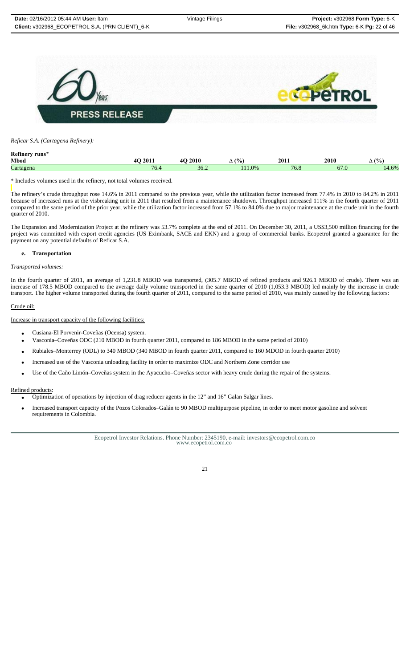

# *Reficar S.A. (Cartagena Refinery):*

| <b>Refinery</b><br>runs* |                                              |                                   |            |      |            |              |
|--------------------------|----------------------------------------------|-----------------------------------|------------|------|------------|--------------|
| <b>Mbod</b>              | $\Delta$ $\Omega$ $\Omega$ $\Omega$ $\Omega$ | 2010<br>$\mathbf{A}$ $\mathbf{C}$ | (9/6)<br>∸ | 2011 | 2010       | (9/6)<br>ு ⊶ |
| Cartagena                | 76.4                                         | 36.2                              | 11.0%      | 76.8 | 67<br>v. v | 14.6%        |
|                          |                                              |                                   |            |      |            |              |

\* Includes volumes used in the refinery, not total volumes received.

The refinery's crude throughput rose 14.6% in 2011 compared to the previous year, while the utilization factor increased from 77.4% in 2010 to 84.2% in 2011 because of increased runs at the visbreaking unit in 2011 that resulted from a maintenance shutdown. Throughput increased 111% in the fourth quarter of 2011 compared to the same period of the prior year, while the utilization factor increased from 57.1% to 84.0% due to major maintenance at the crude unit in the fourth quarter of 2010.

The Expansion and Modernization Project at the refinery was 53.7% complete at the end of 2011. On December 30, 2011, a US\$3,500 million financing for the project was committed with export credit agencies (US Eximbank, SACE and EKN) and a group of commercial banks. Ecopetrol granted a guarantee for the payment on any potential defaults of Reficar S.A.

# **e. Transportation**

### *Transported volumes:*

In the fourth quarter of 2011, an average of 1,231.8 MBOD was transported, (305.7 MBOD of refined products and 926.1 MBOD of crude). There was an increase of 178.5 MBOD compared to the average daily volume transported in the same quarter of 2010 (1,053.3 MBOD) led mainly by the increase in crude transport. The higher volume transported during the fourth quarter of 2011, compared to the same period of 2010, was mainly caused by the following factors:

# Crude oil:

#### Increase in transport capacity of the following facilities:

- Cusiana-El Porvenir-Coveñas (Ocensa) system.
- Vasconia–Coveñas ODC (210 MBOD in fourth quarter 2011, compared to 186 MBOD in the same period of 2010)
- Rubiales–Monterrey (ODL) to 340 MBOD (340 MBOD in fourth quarter 2011, compared to 160 MDOD in fourth quarter 2010)
- Increased use of the Vasconia unloading facility in order to maximize ODC and Northern Zone corridor use
- Use of the Caño Limón–Coveñas system in the Ayacucho–Coveñas sector with heavy crude during the repair of the systems.

### Refined products:

- Optimization of operations by injection of drag reducer agents in the 12" and 16" Galan Salgar lines.
- Increased transport capacity of the Pozos Colorados–Galán to 90 MBOD multipurpose pipeline, in order to meet motor gasoline and solvent requirements in Colombia.

Ecopetrol Investor Relations. Phone Number: 2345190, e-mail: investors@ecopetrol.com.co www.ecopetrol.com.co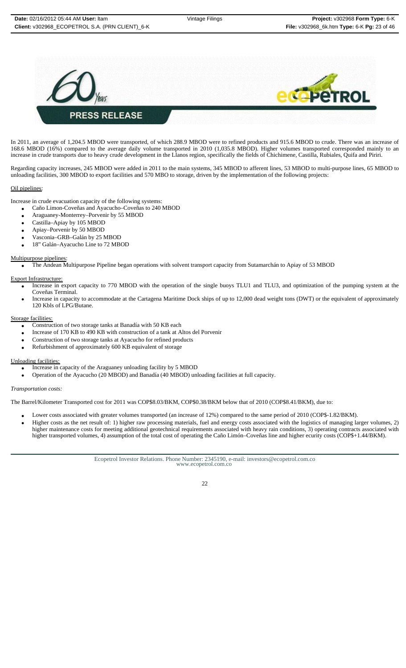

In 2011, an average of 1,204.5 MBOD were transported, of which 288.9 MBOD were to refined products and 915.6 MBOD to crude. There was an increase of 168.6 MBOD (16%) compared to the average daily volume transported in 2010 (1,035.8 MBOD). Higher volumes transported corresponded mainly to an increase in crude transports due to heavy crude development in the Llanos region, specifically the fields of Chichimene, Castilla, Rubiales, Quifa and Piriri.

Regarding capacity increases, 245 MBOD were added in 2011 to the main systems, 345 MBOD to afferent lines, 53 MBOD to multi-purpose lines, 65 MBOD to unloading facilities, 300 MBOD to export facilities and 570 MBO to storage, driven by the implementation of the following projects:

# Oil pipelines:

Increase in crude evacuation capacity of the following systems:

- Caño Limon-Coveñas and Ayacucho–Coveñas to 240 MBOD
- Araguaney-Monterrey–Porvenir by 55 MBOD
- Castilla–Apiay by 105 MBOD
- Apiay–Porvenir by 50 MBOD
- Vasconia–GRB–Galán by 25 MBOD
- 18" Galán–Ayacucho Line to 72 MBOD

#### Multipurpose pipelines:

• The Andean Multipurpose Pipeline began operations with solvent transport capacity from Sutamarchán to Apiay of 53 MBOD

#### Export Infrastructure:

- Increase in export capacity to 770 MBOD with the operation of the single buoys TLU1 and TLU3, and optimization of the pumping system at the Coveñas Terminal.
- Increase in capacity to accommodate at the Cartagena Maritime Dock ships of up to 12,000 dead weight tons (DWT) or the equivalent of approximately 120 Kbls of LPG/Butane.

#### Storage facilities:

- Construction of two storage tanks at Banadía with 50 KB each
- Increase of 170 KB to 490 KB with construction of a tank at Altos del Porvenir
- Construction of two storage tanks at Ayacucho for refined products
- Refurbishment of approximately 600 KB equivalent of storage

### Unloading facilities:

- Increase in capacity of the Araguaney unloading facility by 5 MBOD
- Operation of the Ayacucho (20 MBOD) and Banadía (40 MBOD) unloading facilities at full capacity.

#### *Transportation costs:*

The Barrel/Kilometer Transported cost for 2011 was COP\$8.03/BKM, COP\$0.38/BKM below that of 2010 (COP\$8.41/BKM), due to:

- Lower costs associated with greater volumes transported (an increase of 12%) compared to the same period of 2010 (COP\$-1.82/BKM).
- Higher costs as the net result of: 1) higher raw processing materials, fuel and energy costs associated with the logistics of managing larger volumes, 2) higher maintenance costs for meeting additional geotechnical requirements associated with heavy rain conditions, 3) operating contracts associated with higher transported volumes, 4) assumption of the total cost of operating the Caño Limón–Coveñas line and higher ecurity costs (COP\$+1.44/BKM).

Ecopetrol Investor Relations. Phone Number: 2345190, e-mail: investors@ecopetrol.com.co www.ecopetrol.com.co

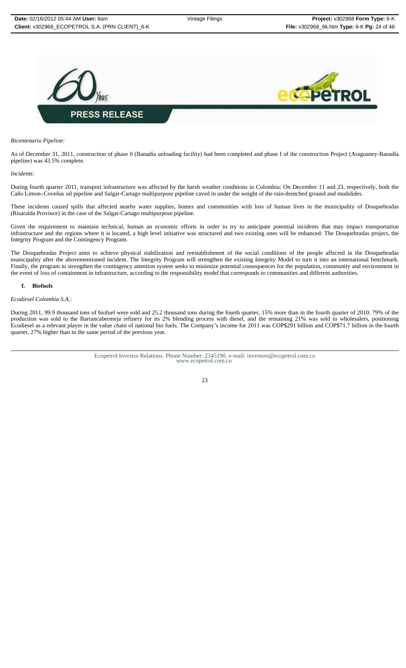

#### *Bicentenario Pipeline:*

As of December 31, 2011, construction of phase 0 (Banadía unloading facility) had been completed and phase I of the construction Project (Araguaney-Banadía pipeline) was 43.5% complete.

#### *Incidents:*

During fourth quarter 2011, transport infrastructure was affected by the harsh weather conditions in Colombia: On December 11 and 23, respectively, both the Caño Limon–Coveñas oil pipeline and Salgar-Cartago multipurpose pipeline caved in under the weight of the rain-drenched ground and mudslides.

These incidents caused spills that affected nearby water supplies, homes and communities with loss of human lives in the municipality of Dosquebradas (Risaralda Province) in the case of the Salgar-Cartago multipurpose pipeline.

Given the requirement to maintain technical, human an economic efforts in order to try to anticipate potential incidents that may impact transportation infrastructure and the regions where it is located, a high level initiative was structured and two existing ones will be enhanced: The Dosquebradas project, the Integrity Program and the Contingency Program.

The Dosquebradas Project aims to achieve physical stabilization and reestablishment of the social conditions of the people affected in the Dosquebradas municipality after the abovementioned incident. The Integrity Program will strengthen the existing Integrity Model to turn it into an international benchmark. Finally, the program to strengthen the contingency attention system seeks to minimize potential consequences for the population, community and environment in the event of loss of containment in infrastructure, according to the responsibility model that corresponds to communities and different authorities.

#### **f. Biofuels**

#### *Ecodiesel Colombia S.A.:*

During 2011, 99.9 thousand tons of biofuel were sold and 25.2 thousand tons during the fourth quarter, 15% more than in the fourth quarter of 2010. 79% of the production was sold to the Barrancabermeja refinery for its 2% blending process with diesel, and the remaining 21% was sold to wholesalers, positioning Ecodiesel as a relevant player in the value chain of national bio fuels. The Company's income for 2011 was COP\$291 billion and COP\$71.7 billion in the fourth quarter, 27% higher than in the same period of the previous year.

Ecopetrol Investor Relations. Phone Number: 2345190, e-mail: investors@ecopetrol.com.co www.ecopetrol.com.co

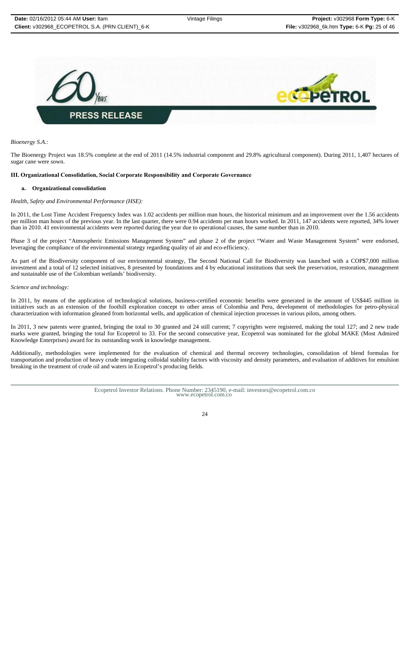

*Bioenergy S.A.:*

The Bioenergy Project was 18.5% complete at the end of 2011 (14.5% industrial component and 29.8% agricultural component). During 2011, 1,407 hectares of sugar cane were sown.

#### **III. Organizational Consolidation, Social Corporate Responsibility and Corporate Governance**

#### **a. Organizational consolidation**

#### *Health, Safety and Environmental Performance (HSE):*

In 2011, the Lost Time Accident Frequency Index was 1.02 accidents per million man hours, the historical minimum and an improvement over the 1.56 accidents per million man hours of the previous year. In the last quarter, there were 0.94 accidents per man hours worked. In 2011, 147 accidents were reported, 34% lower than in 2010. 41 environmental accidents were reported during the year due to operational causes, the same number than in 2010.

Phase 3 of the project "Atmospheric Emissions Management System" and phase 2 of the project "Water and Waste Management System" were endorsed, leveraging the compliance of the environmental strategy regarding quality of air and eco-efficiency.

As part of the Biodiversity component of our environmental strategy, The Second National Call for Biodiversity was launched with a COP\$7,000 million investment and a total of 12 selected initiatives, 8 presented by foundations and 4 by educational institutions that seek the preservation, restoration, management and sustainable use of the Colombian wetlands' biodiversity.

#### *Science and technology:*

In 2011, by means of the application of technological solutions, business-certified economic benefits were generated in the amount of US\$445 million in initiatives such as an extension of the foothill exploration concept to other areas of Colombia and Peru, development of methodologies for petro-physical characterization with information gleaned from horizontal wells, and application of chemical injection processes in various pilots, among others.

In 2011, 3 new patents were granted, bringing the total to 30 granted and 24 still current; 7 copyrights were registered, making the total 127; and 2 new trade marks were granted, bringing the total for Ecopetrol to 33. For the second consecutive year, Ecopetrol was nominated for the global MAKE (Most Admired Knowledge Enterprises) award for its outstanding work in knowledge management.

Additionally, methodologies were implemented for the evaluation of chemical and thermal recovery technologies, consolidation of blend formulas for transportation and production of heavy crude integrating colloidal stability factors with viscosity and density parameters, and evaluation of additives for emulsion breaking in the treatment of crude oil and waters in Ecopetrol's producing fields.

Ecopetrol Investor Relations. Phone Number: 2345190, e-mail: investors@ecopetrol.com.co www.ecopetrol.com.co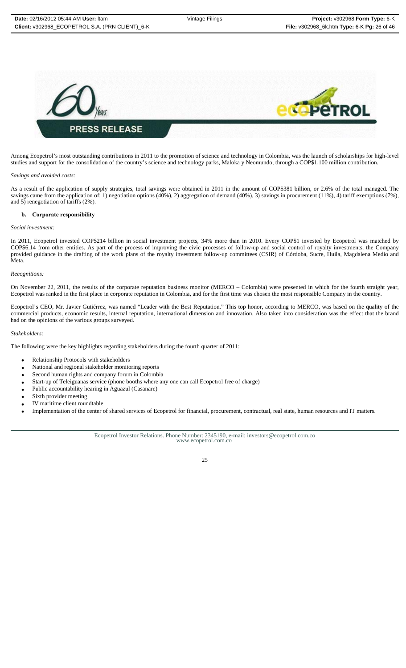

Among Ecopetrol's most outstanding contributions in 2011 to the promotion of science and technology in Colombia, was the launch of scholarships for high-level studies and support for the consolidation of the country's science and technology parks, Maloka y Neomundo, through a COP\$1,100 million contribution.

#### *Savings and avoided costs:*

As a result of the application of supply strategies, total savings were obtained in 2011 in the amount of COP\$381 billion, or 2.6% of the total managed. The savings came from the application of: 1) negotiation options (40%), 2) aggregation of demand (40%), 3) savings in procurement (11%), 4) tariff exemptions (7%), and 5) renegotiation of tariffs (2%).

#### **b. Corporate responsibility**

#### *Social investment:*

In 2011, Ecopetrol invested COP\$214 billion in social investment projects, 34% more than in 2010. Every COP\$1 invested by Ecopetrol was matched by COP\$6.14 from other entities. As part of the process of improving the civic processes of follow-up and social control of royalty investments, the Company provided guidance in the drafting of the work plans of the royalty investment follow-up committees (CSIR) of Córdoba, Sucre, Huila, Magdalena Medio and Meta.

#### *Recognitions:*

On November 22, 2011, the results of the corporate reputation business monitor (MERCO – Colombia) were presented in which for the fourth straight year, Ecopetrol was ranked in the first place in corporate reputation in Colombia, and for the first time was chosen the most responsible Company in the country.

Ecopetrol's CEO, Mr. Javier Gutiérrez, was named "Leader with the Best Reputation." This top honor, according to MERCO, was based on the quality of the commercial products, economic results, internal reputation, international dimension and innovation. Also taken into consideration was the effect that the brand had on the opinions of the various groups surveyed.

#### *Stakeholders:*

The following were the key highlights regarding stakeholders during the fourth quarter of 2011:

- Relationship Protocols with stakeholders
- National and regional stakeholder monitoring reports
- Second human rights and company forum in Colombia
- Start-up of Teleiguanas service (phone booths where any one can call Ecopetrol free of charge)
- Public accountability hearing in Aguazul (Casanare)
- Sixth provider meeting
- IV maritime client roundtable
- Implementation of the center of shared services of Ecopetrol for financial, procurement, contractual, real state, human resources and IT matters.

Ecopetrol Investor Relations. Phone Number: 2345190, e-mail: investors@ecopetrol.com.co www.ecopetrol.com.co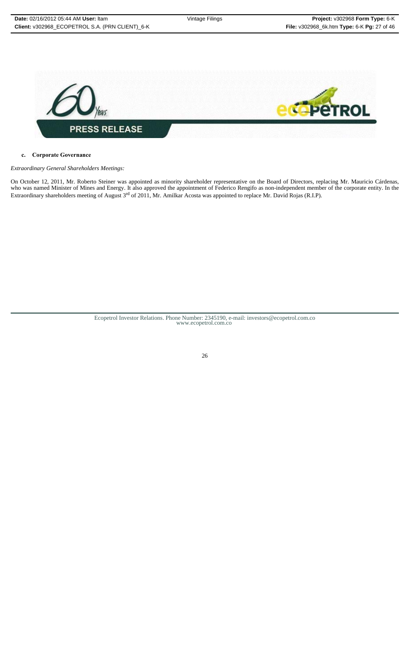

# **c. Corporate Governance**

*Extraordinary General Shareholders Meetings:* 

On October 12, 2011, Mr. Roberto Steiner was appointed as minority shareholder representative on the Board of Directors, replacing Mr. Mauricio Cárdenas, who was named Minister of Mines and Energy. It also approved the appointment of Federico Rengifo as non-independent member of the corporate entity. In the Extraordinary shareholders meeting of August 3<sup>rd</sup> of 2011, Mr. Amilkar Acosta was appointed to replace Mr. David Rojas (R.I.P).

Ecopetrol Investor Relations. Phone Number: 2345190, e-mail: investors@ecopetrol.com.co www.ecopetrol.com.co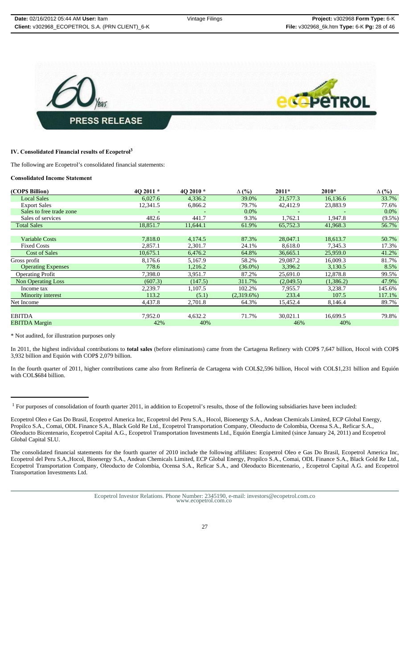

# **IV. Consolidated Financial results of Ecopetrol<sup>3</sup>**

The following are Ecopetrol's consolidated financial statements:

#### **Consolidated Income Statement**

| (COP\$ Billion)           | 40 2011 $*$ | 4Q 2010 * | $\Delta$ (%)  | $2011*$   | $2010*$   | $\Delta$ (%) |
|---------------------------|-------------|-----------|---------------|-----------|-----------|--------------|
| <b>Local Sales</b>        | 6,027.6     | 4,336.2   | 39.0%         | 21,577.3  | 16,136.6  | 33.7%        |
| <b>Export Sales</b>       | 12,341.5    | 6,866.2   | 79.7%         | 42,412.9  | 23,883.9  | 77.6%        |
| Sales to free trade zone  |             |           | $0.0\%$       |           |           | $0.0\%$      |
| Sales of services         | 482.6       | 441.7     | 9.3%          | 1,762.1   | 1,947.8   | $(9.5\%)$    |
| <b>Total Sales</b>        | 18,851.7    | 11,644.1  | 61.9%         | 65,752.3  | 41,968.3  | 56.7%        |
|                           |             |           |               |           |           |              |
| <b>Variable Costs</b>     | 7,818.0     | 4,174.5   | 87.3%         | 28,047.1  | 18,613.7  | 50.7%        |
| <b>Fixed Costs</b>        | 2,857.1     | 2,301.7   | 24.1%         | 8,618.0   | 7,345.3   | 17.3%        |
| <b>Cost of Sales</b>      | 10,675.1    | 6,476.2   | 64.8%         | 36,665.1  | 25,959.0  | 41.2%        |
| Gross profit              | 8,176.6     | 5.167.9   | 58.2%         | 29,087.2  | 16,009.3  | 81.7%        |
| <b>Operating Expenses</b> | 778.6       | 1,216.2   | $(36.0\%)$    | 3,396.2   | 3,130.5   | 8.5%         |
| <b>Operating Profit</b>   | 7,398.0     | 3.951.7   | 87.2%         | 25,691.0  | 12,878.8  | 99.5%        |
| <b>Non Operating Loss</b> | (607.3)     | (147.5)   | 311.7%        | (2,049.5) | (1,386.2) | 47.9%        |
| Income tax                | 2,239.7     | 1,107.5   | 102.2%        | 7,955.7   | 3,238.7   | 145.6%       |
| Minority interest         | 113.2       | (5.1)     | $(2,319.6\%)$ | 233.4     | 107.5     | 117.1%       |
| Net Income                | 4,437.8     | 2,701.8   | 64.3%         | 15,452.4  | 8,146.4   | 89.7%        |
|                           |             |           |               |           |           |              |
| <b>EBITDA</b>             | 7,952.0     | 4,632.2   | 71.7%         | 30,021.1  | 16,699.5  | 79.8%        |
| <b>EBITDA Margin</b>      | 42%         | 40%       |               | 46%       | 40%       |              |

\* Not audited, for illustration purposes only

In 2011, the highest individual contributions to **total sales** (before eliminations) came from the Cartagena Refinery with COP\$ 7,647 billion, Hocol with COP\$ 3,932 billion and Equión with COP\$ 2,079 billion.

In the fourth quarter of 2011, higher contributions came also from Refinería de Cartagena with COL\$2,596 billion, Hocol with COL\$1,231 billion and Equión with COL\$684 billion.

<sup>1</sup> For purposes of consolidation of fourth quarter 2011, in addition to Ecopetrol's results, those of the following subsidiaries have been included:

Ecopetrol Oleo e Gas Do Brasil, Ecopetrol America Inc, Ecopetrol del Peru S.A., Hocol, Bioenergy S.A., Andean Chemicals Limited, ECP Global Energy, Propilco S.A., Comai, ODL Finance S.A., Black Gold Re Ltd., Ecopetrol Transportation Company, Oleoducto de Colombia, Ocensa S.A., Reficar S.A., Oleoducto Bicentenario, Ecopetrol Capital A.G., Ecopetrol Transportation Investments Ltd., Equión Energía Limited (since January 24, 2011) and Ecopetrol Global Capital SLU.

The consolidated financial statements for the fourth quarter of 2010 include the following affiliates: Ecopetrol Oleo e Gas Do Brasil, Ecopetrol America Inc, Ecopetrol del Peru S.A.,Hocol, Bioenergy S.A., Andean Chemicals Limited, ECP Global Energy, Propilco S.A., Comai, ODL Finance S.A., Black Gold Re Ltd., Ecopetrol Transportation Company, Oleoducto de Colombia, Ocensa S.A., Reficar S.A., and Oleoducto Bicentenario, , Ecopetrol Capital A.G. and Ecopetrol Transportation Investments Ltd.

Ecopetrol Investor Relations. Phone Number: 2345190, e-mail: investors@ecopetrol.com.co www.ecopetrol.com.co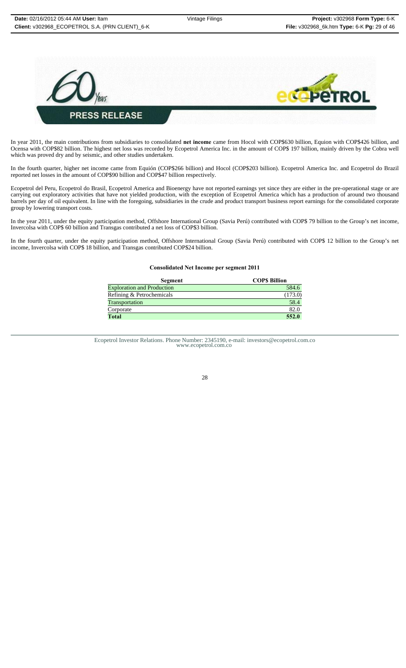

In year 2011, the main contributions from subsidiaries to consolidated **net income** came from Hocol with COP\$630 billion, Equion with COP\$426 billion, and Ocensa with COP\$82 billion. The highest net loss was recorded by Ecopetrol America Inc. in the amount of COP\$ 197 billion, mainly driven by the Cobra well which was proved dry and by seismic, and other studies undertaken.

In the fourth quarter, higher net income came from Equión (COP\$266 billion) and Hocol (COP\$203 billion). Ecopetrol America Inc. and Ecopetrol do Brazil reported net losses in the amount of COP\$90 billion and COP\$47 billion respectively.

Ecopetrol del Peru, Ecopetrol do Brasil, Ecopetrol America and Bioenergy have not reported earnings yet since they are either in the pre-operational stage or are carrying out exploratory activities that have not yielded production, with the exception of Ecopetrol America which has a production of around two thousand barrels per day of oil equivalent. In line with the foregoing, subsidiaries in the crude and product transport business report earnings for the consolidated corporate group by lowering transport costs.

In the year 2011, under the equity participation method, Offshore International Group (Savia Perú) contributed with COP\$ 79 billion to the Group's net income, Invercolsa with COP\$ 60 billion and Transgas contributed a net loss of COP\$3 billion.

In the fourth quarter, under the equity participation method, Offshore International Group (Savia Perú) contributed with COP\$ 12 billion to the Group's net income, Invercolsa with COP\$ 18 billion, and Transgas contributed COP\$24 billion.

#### **Consolidated Net Income per segment 2011**

| Segment                           | <b>COPS Billion</b> |
|-----------------------------------|---------------------|
| <b>Exploration and Production</b> | 584.6               |
| Refining & Petrochemicals         | (173.0)             |
| Transportation                    | 58.4                |
| Corporate                         | 82.0                |
| Total                             | 552.0               |

Ecopetrol Investor Relations. Phone Number: 2345190, e-mail: investors@ecopetrol.com.co www.ecopetrol.com.co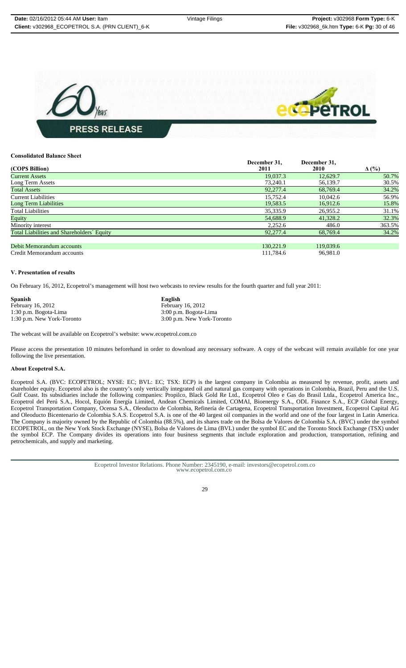

#### **Consolidated Balance Sheet**

|                                            | December 31, | December 31, |              |
|--------------------------------------------|--------------|--------------|--------------|
| (COP\$ Billion)                            | 2011         | 2010         | $\Delta$ (%) |
| <b>Current Assets</b>                      | 19,037.3     | 12,629.7     | 50.7%        |
| Long Term Assets                           | 73,240.1     | 56,139.7     | 30.5%        |
| <b>Total Assets</b>                        | 92,277.4     | 68,769.4     | 34.2%        |
| <b>Current Liabilities</b>                 | 15.752.4     | 10.042.6     | 56.9%        |
| Long Term Liabilities                      | 19,583.5     | 16.912.6     | 15.8%        |
| <b>Total Liabilities</b>                   | 35,335.9     | 26,955.2     | 31.1%        |
| Equity                                     | 54,688.9     | 41,328.2     | 32.3%        |
| Minority interest                          | 2.252.6      | 486.0        | 363.5%       |
| Total Liabilities and Shareholders' Equity | 92,277.4     | 68,769.4     | 34.2%        |
|                                            |              |              |              |
| Debit Memorandum accounts                  | 130,221.9    | 119,039.6    |              |
| Credit Memorandum accounts                 | 111.784.6    | 96.981.0     |              |

#### **V. Presentation of results**

On February 16, 2012, Ecopetrol's management will host two webcasts to review results for the fourth quarter and full year 2011:

| Spanish                    | English                    |
|----------------------------|----------------------------|
| February 16, 2012          | February 16, 2012          |
| 1:30 p.m. Bogota-Lima      | 3:00 p.m. Bogota-Lima      |
| 1:30 p.m. New York-Toronto | 3:00 p.m. New York-Toronto |

The webcast will be available on Ecopetrol's website: www.ecopetrol.com.co

Please access the presentation 10 minutes beforehand in order to download any necessary software. A copy of the webcast will remain available for one year following the live presentation.

#### **About Ecopetrol S.A.**

Ecopetrol S.A. (BVC: ECOPETROL; NYSE: EC; BVL: EC; TSX: ECP) is the largest company in Colombia as measured by revenue, profit, assets and shareholder equity. Ecopetrol also is the country's only vertically integrated oil and natural gas company with operations in Colombia, Brazil, Peru and the U.S. Gulf Coast. Its subsidiaries include the following companies: Propilco, Black Gold Re Ltd., Ecopetrol Oleo e Gas do Brasil Ltda., Ecopetrol America Inc., Ecopetrol del Perú S.A., Hocol, Equión Energía Limited, Andean Chemicals Limited, COMAI, Bioenergy S.A., ODL Finance S.A., ECP Global Energy, Ecopetrol Transportation Company, Ocensa S.A., Oleoducto de Colombia, Refinería de Cartagena, Ecopetrol Transportation Investment, Ecopetrol Capital AG and Oleoducto Bicentenario de Colombia S.A.S. Ecopetrol S.A. is one of the 40 largest oil companies in the world and one of the four largest in Latin America. The Company is majority owned by the Republic of Colombia (88.5%), and its shares trade on the Bolsa de Valores de Colombia S.A. (BVC) under the symbol ECOPETROL, on the New York Stock Exchange (NYSE), Bolsa de Valores de Lima (BVL) under the symbol EC and the Toronto Stock Exchange (TSX) under the symbol ECP. The Company divides its operations into four business segments that include exploration and production, transportation, refining and petrochemicals, and supply and marketing.

Ecopetrol Investor Relations. Phone Number: 2345190, e-mail: investors@ecopetrol.com.co www.ecopetrol.com.co

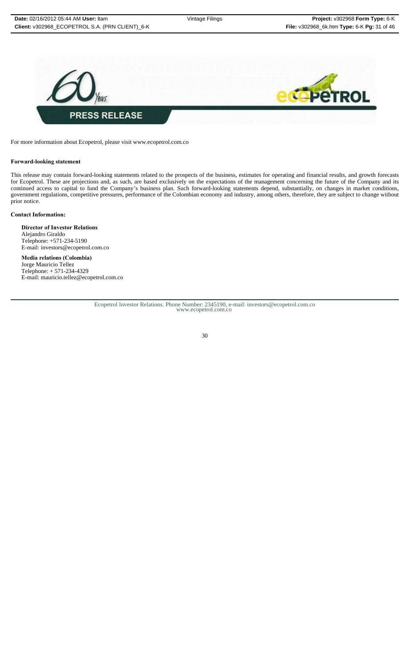

For more information about Ecopetrol, please visit www.ecopetrol.com.co

#### **Forward-looking statement**

This release may contain forward-looking statements related to the prospects of the business, estimates for operating and financial results, and growth forecasts for Ecopetrol. These are projections and, as such, are based exclusively on the expectations of the management concerning the future of the Company and its continued access to capital to fund the Company's business plan. Such forward-looking statements depend, substantially, on changes in market conditions, government regulations, competitive pressures, performance of the Colombian economy and industry, among others, therefore, they are subject to change without prior notice.

#### **Contact Information:**

**Director of Investor Relations** Alejandro Giraldo Telephone: +571-234-5190 E-mail: investors@ecopetrol.com.co

**Media relations (Colombia)** Jorge Mauricio Tellez Telephone: + 571-234-4329 E-mail: mauricio.tellez@ecopetrol.com.co

Ecopetrol Investor Relations. Phone Number: 2345190, e-mail: investors@ecopetrol.com.co www.ecopetrol.com.co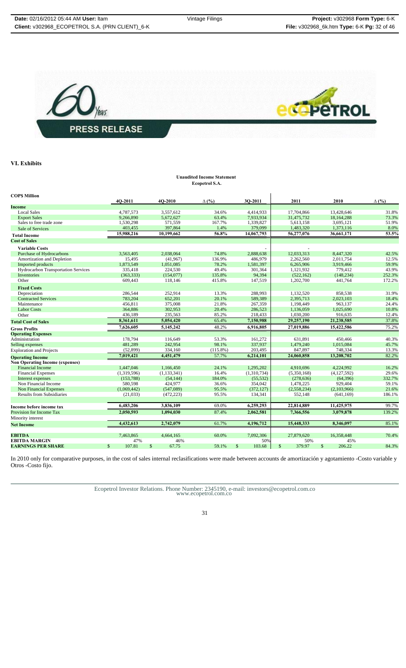

**VI. Exhibits** 

#### **Unaudited Income Statement Ecopetrol S.A.**

| <b>COPS Million</b>                    |              |             |              |               |              |              |             |              |             |              |             |              |
|----------------------------------------|--------------|-------------|--------------|---------------|--------------|--------------|-------------|--------------|-------------|--------------|-------------|--------------|
|                                        |              | 4O-2011     |              | 4O-2010       | $\Delta$ (%) |              | 30-2011     |              | 2011        |              | 2010        | $\Delta$ (%) |
| Income                                 |              |             |              |               |              |              |             |              |             |              |             |              |
| <b>Local Sales</b>                     |              | 4,787,573   |              | 3,557,612     | 34.6%        |              | 4,414,933   |              | 17,704,866  |              | 13,428,646  | 31.8%        |
| <b>Export Sales</b>                    |              | 9.266.890   |              | 5,672,627     | 63.4%        |              | 7,933,934   |              | 31,475,732  |              | 18.164.288  | 73.3%        |
| Sales to free trade zone               |              | 1,530,298   |              | 571.559       | 167.7%       |              | 1,339,827   |              | 5,613,158   |              | 3,695,121   | 51.9%        |
| Sale of Services                       |              | 403,455     |              | 397,864       | 1.4%         |              | 379,099     |              | 1,483,320   |              | 1,373,116   | 8.0%         |
| <b>Total Income</b>                    |              | 15,988,216  |              | 10,199,662    | 56.8%        |              | 14,067,793  |              | 56,277,076  |              | 36,661,171  | 53.5%        |
| <b>Cost of Sales</b>                   |              |             |              |               |              |              |             |              |             |              |             |              |
| <b>Variable Costs</b>                  |              |             |              |               |              |              |             |              |             |              |             |              |
| Purchase of Hydrocarbons               |              | 3,563,405   |              | 2,038,064     | 74.8%        |              | 2,888,638   |              | 12,033,313  |              | 8,447,320   | 42.5%        |
| Amortization and Depletion             |              | 15,495      |              | (41,967)      | 136.9%       |              | 486,979     |              | 2,262,560   |              | 2,011,754   | 12.5%        |
| Imported products                      |              | 1,873,549   |              | 1,051,085     | 78.2%        |              | 1,581,397   |              | 6,265,906   |              | 3,919,466   | 59.9%        |
| Hydrocarbon Transportation Services    |              | 335,418     |              | 224,530       | 49.4%        |              | 301,364     |              | 1,121,932   |              | 779,412     | 43.9%        |
| Inventories                            |              | (363, 333)  |              | (154,077)     | 135.8%       |              | 94,394      |              | (522, 162)  |              | (148, 234)  | 252.3%       |
| Other                                  |              | 609,443     |              | 118,146       | 415.8%       |              | 147,519     |              | 1,202,700   |              | 441,764     | 172.2%       |
| <b>Fixed Costs</b>                     |              |             |              |               |              |              |             |              |             |              |             |              |
| Depreciation                           |              | 286,544     |              | 252,914       | 13.3%        |              | 288,993     |              | 1,132,520   |              | 858,538     | 31.9%        |
| <b>Contracted Services</b>             |              | 783,204     |              | 652,201       | 20.1%        |              | 589,389     |              | 2,395,713   |              | 2,023,103   | 18.4%        |
| Maintenance                            |              | 456,811     |              | 375,008       | 21.8%        |              | 267,359     |              | 1,198,449   |              | 963,137     | 24.4%        |
| <b>Labor Costs</b>                     |              | 364,886     |              | 302,953       | 20.4%        |              | 286,523     |              | 1,136,059   |              | 1,025,690   | 10.8%        |
| Other                                  |              | 436,189     |              | 235,563       | 85.2%        |              | 218,433     |              | 1,030,200   |              | 916,635     | 12.4%        |
| <b>Total Cost of Sales</b>             |              | 8,361,611   |              | 5,054,420     | 65.4%        |              | 7,150,988   |              | 29,257,190  |              | 21,238,585  | 37.8%        |
| <b>Gross Profits</b>                   |              | 7.626.605   |              | 5,145,242     | 48.2%        |              | 6.916.805   |              | 27,019,886  |              | 15,422,586  | 75.2%        |
| <b>Operating Expenses</b>              |              |             |              |               |              |              |             |              |             |              |             |              |
| Administration                         |              | 178,794     |              | 116,649       | 53.3%        |              | 161,272     |              | 631,891     |              | 450,466     | 40.3%        |
| Selling expenses                       |              | 481,289     |              | 242,954       | 98.1%        |              | 337,937     |              | 1,479,240   |              | 1,015,084   | 45.7%        |
| <b>Exploration and Projects</b>        |              | (52, 899)   |              | 334,160       | $(115.8\%)$  |              | 203,495     |              | 847,897     |              | 748,334     | 13.3%        |
| <b>Operating Income</b>                |              | 7,019,421   |              | 4,451,479     | 57.7%        |              | 6,214,101   |              | 24,060,858  |              | 13,208,702  | 82.2%        |
| <b>Non Operating Income (expenses)</b> |              |             |              |               |              |              |             |              |             |              |             |              |
| <b>Financial Income</b>                |              | 1,447,046   |              | 1,166,450     | 24.1%        |              | 1,295,202   |              | 4,910,696   |              | 4,224,992   | 16.2%        |
| <b>Financial Expenses</b>              |              | (1,319,596) |              | (1, 133, 341) | 16.4%        |              | (1,310,734) |              | (5,350,168) |              | (4,127,592) | 29.6%        |
| Interest expenses                      |              | (153, 788)  |              | (54, 144)     | 184.0%       |              | (55, 532)   |              | (278, 636)  |              | (64, 396)   | 332.7%       |
| Non Financial Income                   |              | 580,598     |              | 424,977       | 36.6%        |              | 354,042     |              | 1,478,225   |              | 929,404     | 59.1%        |
| <b>Non Financial Expenses</b>          |              | (1,069,442) |              | (547,089)     | 95.5%        |              | (372, 127)  |              | (2,558,234) |              | (2,103,966) | 21.6%        |
| <b>Results from Subsidiaries</b>       |              | (21,033)    |              | (472, 223)    | 95.5%        |              | 134,341     |              | 552,148     |              | (641, 169)  | 186.1%       |
|                                        |              |             |              |               |              |              |             |              |             |              |             |              |
| Income before income tax               |              | 6,483,206   |              | 3,836,109     | 69.0%        |              | 6,259,293   |              | 22,814,889  |              | 11,425,975  | 99.7%        |
| <b>Provision for Income Tax</b>        |              | 2,050,593   |              | 1,094,030     | 87.4%        |              | 2,062,581   |              | 7,366,556   |              | 3,079,878   | 139.2%       |
| Minority interest                      |              |             |              |               |              |              |             |              |             |              |             |              |
| <b>Net Income</b>                      |              | 4,432,613   |              | 2,742,079     | 61.7%        |              | 4,196,712   |              | 15,448,333  |              | 8,346,097   | 85.1%        |
|                                        |              |             |              |               |              |              |             |              |             |              |             |              |
| <b>EBITDA</b><br><b>EBITDA MARGIN</b>  |              | 7,463,865   |              | 4,664,165     | 60.0%        |              | 7,092,306   |              | 27,879,620  |              | 16,358,448  | 70.4%        |
|                                        |              | 47%         |              | 46%           |              |              | 50%         |              | 50%         |              | 45%         |              |
| <b>EARNINGS PER SHARE</b>              | $\mathbb{S}$ | 107.81      | $\mathbb{S}$ | 67.75         | 59.1%        | $\mathbb{S}$ | 103.68      | $\mathbb{S}$ | 379.97      | $\mathbb{S}$ | 206.22      | 84.3%        |

In 2010 only for comparative purposes, in the cost of sales internal reclasifications were made between accounts de amortización y agotamiento -Costo variable y Otros -Costo fijo.

Ecopetrol Investor Relations. Phone Number: 2345190, e-mail: investors@ecopetrol.com.co www.ecopetrol.com.co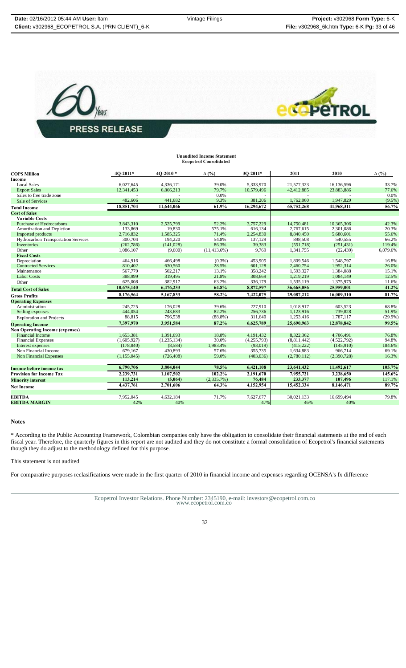



|                                        |             |             | <b>Unaudited Income Statement</b><br><b>Ecopetrol Consolidated</b> |               |             |             |              |
|----------------------------------------|-------------|-------------|--------------------------------------------------------------------|---------------|-------------|-------------|--------------|
| <b>COPS Million</b>                    | 4O-2011*    | 4O-2010*    | $\Delta$ (%)                                                       | 30-2011*      | 2011        | 2010        | $\Delta$ (%) |
| <b>Income</b>                          |             |             |                                                                    |               |             |             |              |
| <b>Local Sales</b>                     | 6.027.645   | 4,336,171   | 39.0%                                                              | 5,333,970     | 21,577,323  | 16,136,596  | 33.7%        |
| <b>Export Sales</b>                    | 12,341,453  | 6,866,213   | 79.7%                                                              | 10,579,496    | 42,412,885  | 23,883,886  | 77.6%        |
| Sales to free trade zone               |             |             | 0.0%                                                               |               |             |             | 0.0%         |
| Sale of Services                       | 482,606     | 441,682     | 9.3%                                                               | 381,206       | 1,762,060   | 1,947,829   | $(9.5\%)$    |
| <b>Total Income</b>                    | 18,851,704  | 11,644,066  | 61.9%                                                              | 16,294,672    | 65,752,268  | 41,968,311  | 56.7%        |
| <b>Cost of Sales</b>                   |             |             |                                                                    |               |             |             |              |
| <b>Variable Costs</b>                  |             |             |                                                                    |               |             |             |              |
| Purchase of Hydrocarbons               | 3.843.310   | 2.525.799   | 52.2%                                                              | 3.757.229     | 14,750,481  | 10.365.306  | 42.3%        |
| Amortization and Depletion             | 133,869     | 19,830      | 575.1%                                                             | 616,134       | 2,767,615   | 2.301.086   | 20.3%        |
| Imported products                      | 2,716,832   | 1,585,325   | 71.4%                                                              | 2,254,830     | 8,840,450   | 5,680,601   | 55.6%        |
| Hydrocarbon Transportation Services    | 300,704     | 194,220     | 54.8%                                                              | 137,129       | 898,508     | 540,555     | 66.2%        |
| Inventories                            | (262, 786)  | (141,028)   | 86.3%                                                              | 39,383        | (551,718)   | (251, 431)  | 119.4%       |
| Other                                  | 1,086,107   | (9,600)     | $(11, 413.6\%)$                                                    | 9,769         | 1,341,755   | (22, 439)   | 6,079.6%     |
| <b>Fixed Costs</b>                     |             |             |                                                                    |               |             |             |              |
| Depreciation                           | 464,916     | 466.498     | $(0.3\%)$                                                          | 453,905       | 1.809.546   | 1.548.797   | 16.8%        |
| <b>Contracted Services</b>             | 810,402     | 630,560     | 28.5%                                                              | 601,128       | 2,460,754   | 1,952,314   | 26.0%        |
| Maintenance                            | 567,779     | 502,217     | 13.1%                                                              | 358,242       | 1,593,327   | 1,384,088   | 15.1%        |
| <b>Labor Costs</b>                     | 388,999     | 319,495     | 21.8%                                                              | 308,669       | 1,219,219   | 1,084,149   | 12.5%        |
| Other                                  | 625,008     | 382,917     | 63.2%                                                              | 336,179       | 1,535,119   | 1,375,975   | 11.6%        |
| <b>Total Cost of Sales</b>             | 10,675,140  | 6,476,233   | 64.8%                                                              | 8,872,597     | 36,665,056  | 25,959,001  | 41.2%        |
| <b>Gross Profits</b>                   | 8,176,564   | 5,167,833   | 58.2%                                                              | 7,422,075     | 29,087,212  | 16,009,310  | 81.7%        |
| <b>Operating Expenses</b>              |             |             |                                                                    |               |             |             |              |
| Administration                         | 245,725     | 176,028     | 39.6%                                                              | 227,910       | 1,018,917   | 603.523     | 68.8%        |
| Selling expenses                       | 444,054     | 243,683     | 82.2%                                                              | 256,736       | 1,123,916   | 739,828     | 51.9%        |
| <b>Exploration and Projects</b>        | 88.815      | 796,538     | $(88.8\%)$                                                         | 311,640       | 1,253,416   | 1.787.117   | $(29.9\%)$   |
| <b>Operating Income</b>                | 7.397.970   | 3,951,584   | 87.2%                                                              | 6,625,789     | 25,690,963  | 12,878,842  | 99.5%        |
| <b>Non Operating Income (expenses)</b> |             |             |                                                                    |               |             |             |              |
| <b>Financial Income</b>                | 1.653.381   | 1,391,693   | 18.8%                                                              | 4,191,432     | 8.322.362   | 4,706,491   | 76.8%        |
| <b>Financial Expenses</b>              | (1,605,927) | (1,235,134) | 30.0%                                                              | (4, 255, 793) | (8,811,442) | (4,522,792) | 94.8%        |
| Interest expenses                      | (178, 840)  | (8,584)     | 1,983.4%                                                           | (93,019)      | (415, 222)  | (145,910)   | 184.6%       |
| Non Financial Income                   | 679,167     | 430,893     | 57.6%                                                              | 355,735       | 1,634,883   | 966,714     | 69.1%        |
| <b>Non Financial Expenses</b>          | (1,155,045) | (726, 408)  | 59.0%                                                              | (403, 036)    | (2,780,112) | (2,390,728) | 16.3%        |
|                                        |             |             |                                                                    |               |             |             |              |
| Income before income tax               | 6,790,706   | 3,804,044   | 78.5%                                                              | 6,421,108     | 23,641,432  | 11,492,617  | 105.7%       |
| <b>Provision for Income Tax</b>        | 2,239,731   | 1,107,502   | 102.2%                                                             | 2,191,670     | 7,955,721   | 3,238,650   | 145.6%       |
| <b>Minority interest</b>               | 113,214     | (5,064)     | (2,335.7%)                                                         | 76,484        | 233,377     | 107,496     | 117.1%       |
| <b>Net Income</b>                      | 4,437,761   | 2,701,606   | 64.3%                                                              | 4,152,954     | 15,452,334  | 8,146,471   | 89.7%        |
|                                        |             |             |                                                                    |               |             |             |              |
| <b>EBITDA</b>                          | 7,952,045   | 4,632,184   | 71.7%                                                              | 7,627,677     | 30,021,133  | 16,699,494  | 79.8%        |
| <b>EBITDA MARGIN</b>                   | 42%         | 40%         |                                                                    | 47%           | 46%         | 40%         |              |

# **Notes**

\* According to the Public Accounting Framework, Colombian companies only have the obligation to consolidate their financial statements at the end of each fiscal year. Therefore, the quarterly figures in this report are not audited and they do not constitute a formal consolidation of Ecopetrol's financial statements though they do adjust to the methodology defined for this purpose.

This statement is not audited

For comparative purposes reclasifications were made in the first quarter of 2010 in financial income and expenses regarding OCENSA's fx difference

Ecopetrol Investor Relations. Phone Number: 2345190, e-mail: investors@ecopetrol.com.co www.ecopetrol.com.co

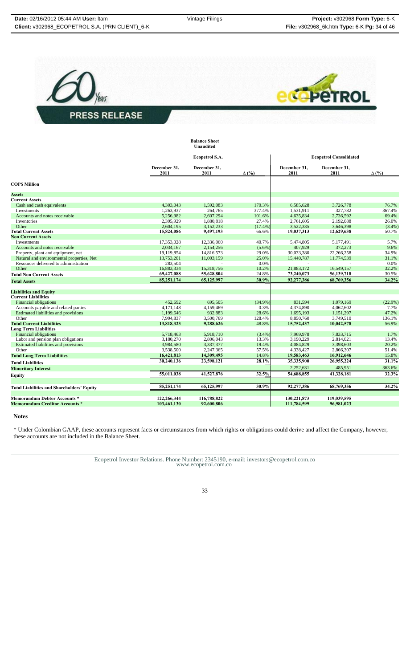



|                                                   |                      | <b>Balance Sheet</b><br>Unaudited |                               |                      |                      |              |
|---------------------------------------------------|----------------------|-----------------------------------|-------------------------------|----------------------|----------------------|--------------|
|                                                   |                      | Ecopetrol S.A.                    | <b>Ecopetrol Consolidated</b> |                      |                      |              |
|                                                   | December 31,<br>2011 | December 31,<br>2011              | $\Delta$ (%)                  | December 31,<br>2011 | December 31,<br>2011 | $\Delta$ (%) |
| <b>COPS Million</b>                               |                      |                                   |                               |                      |                      |              |
| <b>Assets</b>                                     |                      |                                   |                               |                      |                      |              |
| <b>Current Assets</b>                             |                      |                                   |                               |                      |                      |              |
| Cash and cash equivalents                         | 4,303,043            | 1,592,083                         | 170.3%                        | 6,585,628            | 3,726,778            | 76.7%        |
| Investments                                       | 1,263,937            | 264,765                           | 377.4%                        | 1,531,911            | 327,782              | 367.4%       |
| Accounts and notes receivable                     | 5,256,982            | 2,607,294                         | 101.6%                        | 4,635,834            | 2,736,592            | 69.4%        |
| Inventories                                       | 2,395,929            | 1,880,818                         | 27.4%                         | 2,761,605            | 2,192,088            | 26.0%        |
| Other                                             | 2,604,195            | 3,152,233                         | (17.4%                        | 3,522,335            | 3,646,398            | $(3.4\%)$    |
| <b>Total Current Assets</b>                       | 15,824,086           | 9,497,193                         | 66.6%                         | 19,037,313           | 12,629,638           | 50.7%        |
| <b>Non Current Assets</b>                         |                      |                                   |                               |                      |                      |              |
| Investments                                       | 17.353.028           | 12,336,060                        | 40.7%                         | 5.474.805            | 5.177.491            | 5.7%         |
| Accounts and notes receivable                     | 2,034,167            | 2,154,256                         | $(5.6\%)$                     | 407,929              | 372,273              | 9.6%         |
| Property, plant and equipment, net                | 19.119.854           | 14,816,573                        | 29.0%                         | 30,033,380           | 22.266.258           | 34.9%        |
| Natural and environmental properties, Net         | 13,753,201           | 11,003,159                        | 25.0%                         | 15,440,787           | 11,774,539           | 31.1%        |
| Resources delivered to administration             | 283,504              |                                   | 0.0%                          |                      |                      | 0.0%         |
| Other                                             | 16,883,334           | 15,318,756                        | 10.2%                         | 21,883,172           | 16,549,157           | 32.2%        |
| <b>Total Non Current Assets</b>                   | 69,427,088           | 55,628,804                        | 24.8%                         | 73,240,073           | 56,139,718           | 30.5%        |
| <b>Total Assets</b>                               | 85,251,174           | 65,125,997                        | 30.9%                         | 92,277,386           | 68,769,356           | 34.2%        |
|                                                   |                      |                                   |                               |                      |                      |              |
| <b>Liabilities and Equity</b>                     |                      |                                   |                               |                      |                      |              |
| <b>Current Liabilities</b>                        |                      |                                   |                               |                      |                      |              |
| <b>Financial obligations</b>                      | 452,692              | 695,505                           | (34.9%)                       | 831,594              | 1,079,169            | $(22.9\%)$   |
| Accounts payable and related parties              | 4,171,148            | 4,159,469                         | 0.3%                          | 4,374,890            | 4,062,602            | 7.7%         |
| Estimated liabilities and provisions              | 1,199,646            | 932,883                           | 28.6%                         | 1,695,193            | 1,151,297            | 47.2%        |
| Other                                             | 7.994.837            | 3.500.769                         | 128.4%                        | 8.850.760            | 3.749.510            | 136.1%       |
| <b>Total Current Liabilities</b>                  | 13,818,323           | 9,288,626                         | 48.8%                         | 15,752,437           | 10,042,578           | 56.9%        |
| <b>Long Term Liabilities</b>                      |                      |                                   |                               |                      |                      |              |
| <b>Financial obligations</b>                      | 5,718,463            | 5,918,710                         | (3.4%)                        | 7,969,978            | 7,833,715            | 1.7%         |
| Labor and pension plan obligations                | 3,180,270            | 2,806,043                         | 13.3%                         | 3,190,229            | 2,814,021            | 13.4%        |
| Estimated liabilities and provisions              | 3,984,580            | 3,337,377                         | 19.4%                         | 4,084,829            | 3,398,603            | 20.2%        |
| Other                                             | 3,538,500            | 2,247,365                         | 57.5%                         | 4,338,427            | 2,866,307            | 51.4%        |
| <b>Total Long Term Liabilities</b>                | 16,421,813           | 14,309,495                        | 14.8%                         | 19,583,463           | 16,912,646           | 15.8%        |
| <b>Total Liabilities</b>                          | 30,240,136           | 23,598,121                        | 28.1%                         | 35,335,900           | 26,955,224           | 31.1%        |
| <b>Minoritary Interest</b>                        |                      |                                   |                               | 2,252,631            | 485,951              | 363.6%       |
|                                                   | 55,011,038           | 41,527,876                        | 32.5%                         | 54,688,855           | 41,328,181           | 32.3%        |
| <b>Equity</b>                                     |                      |                                   |                               |                      |                      |              |
| <b>Total Liabilities and Shareholders' Equity</b> | 85,251,174           | 65,125,997                        | 30.9%                         | 92,277,386           | 68,769,356           | 34.2%        |
|                                                   |                      |                                   |                               |                      |                      |              |
| <b>Memorandum Debtor Accounts*</b>                | 122,266,344          | 116,788,822                       |                               | 130,221,873          | 119,039,595          |              |
| <b>Memorandum Creditor Accounts *</b>             | 103,461,130          | 92,600,806                        |                               | 111,784,599          | 96,981,023           |              |

**Notes**

\* Under Colombian GAAP, these accounts represent facts or circumstances from which rights or obligations could derive and affect the Company, however, these accounts are not included in the Balance Sheet.

Ecopetrol Investor Relations. Phone Number: 2345190, e-mail: investors@ecopetrol.com.co www.ecopetrol.com.co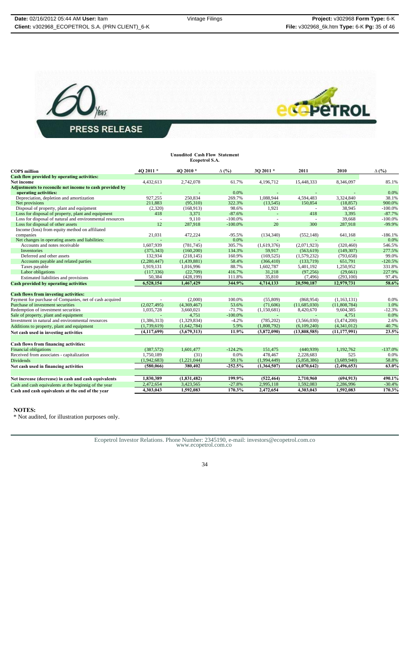



# **Unaudited Cash Flow Statement Ecopetrol S.A.**

| <b>COPS</b> million                                      | 4O 2011 *     | 4O 2010*    | $\Delta$ (%) | 3O 2011 *   | 2011         | 2010           | $\Delta$ (%) |
|----------------------------------------------------------|---------------|-------------|--------------|-------------|--------------|----------------|--------------|
| Cash flow provided by operating activities:              |               |             |              |             |              |                |              |
| Net income                                               | 4,432,613     | 2,742,078   | 61.7%        | 4,196,712   | 15,448,333   | 8,346,097      | 85.1%        |
| Adjustments to reconcile net income to cash provided by  |               |             |              |             |              |                |              |
| operating activities:                                    |               |             | 0.0%         |             |              |                | 0.0%         |
| Depreciation, depletion and amortization                 | 927,255       | 250,834     | 269.7%       | 1,088,944   | 4,594,483    | 3,324,840      | 38.1%        |
| Net provisions                                           | 211,883       | (95,310)    | 322.3%       | (13, 545)   | 150,854      | (18, 857)      | 900.0%       |
| Disposal of property, plant and equipment                | (2,320)       | (168, 913)  | 98.6%        | 1,921       | $\sim$       | 38,945         | $-100.0%$    |
| Loss for disposal of property, plant and equipment       | 418           | 3,371       | $-87.6%$     |             | 418          | 3,395          | $-87.7%$     |
| Loss for disposal of natural and environmental resources | $\sim$        | 9,110       | $-100.0\%$   | $\sim$      |              | 39,668         | $-100.0%$    |
| Loss for disposal of other assets                        | 12            | 287,918     | $-100.0%$    | 20          | 300          | 287,918        | $-99.9%$     |
| Income (loss) from equity method on affiliated           |               |             |              |             |              |                |              |
| companies                                                | 21,031        | 472,224     | $-95.5%$     | (134, 340)  | (552, 148)   | 641,168        | $-186.1%$    |
| Net changes in operating assets and liabilities:         |               |             | 0.0%         |             |              |                | 0.0%         |
| Accounts and notes receivable                            | 1,607,939     | (781, 745)  | 305.7%       | (1,619,376) | (2,071,923)  | (320, 460)     | 546.5%       |
| Inventories                                              | (375.343)     | (160, 200)  | 134.3%       | 59,917      | (563, 619)   | (149.307)      | 277.5%       |
| Deferred and other assets                                | 132,934       | (218, 145)  | 160.9%       | (169, 525)  | (1,579,232)  | (793, 658)     | 99.0%        |
| Accounts payable and related parties                     | (2,280,447)   | (1,439,881) | 58.4%        | (366, 410)  | (133,719)    | 651,791        | $-120.5%$    |
| Taxes payable                                            | 1,919,131     | 1,016,996   | 88.7%        | 1,602,787   | 5,401,192    | 1,250,952      | 331.8%       |
| Labor obligations                                        | (117, 336)    | (22,709)    | 416.7%       | 31,218      | (97, 256)    | (29,661)       | 227.9%       |
| Estimated liabilities and provisions                     | 50,384        | (428, 199)  | 111.8%       | 35,810      | (7, 496)     | (293, 100)     | 97.4%        |
| Cash provided by operating activities                    | 6.528.154     | 1,467,429   | 344.9%       | 4,714,133   | 20,590,187   | 12,979,731     | 58.6%        |
| <b>Cash flows from investing activities:</b>             |               |             |              |             |              |                |              |
| Payment for purchase of Companies, net of cash acquired  |               | (2,000)     | 100.0%       | (55,809)    | (868,954)    | (1,163,131)    | 0.0%         |
| Purchase of investment securities                        | (2,027,495)   | (4,369,467) | 53.6%        | (71,606)    | (11,685,030) | (11,808,784)   | 1.0%         |
| Redemption of investment securities                      | 1,035,728     | 3,660,021   | $-71.7%$     | (1,150,681) | 8,420,670    | 9,604,385      | $-12.3%$     |
| Sale of property, plant and equipment                    |               | 4,751       | $-100.0%$    |             |              | 4,751          | 0.0%         |
| Investment in natural and environmental resources        | (1,386,313)   | (1,329,834) | $-4.2%$      | (785, 202)  | (3,566,030)  | (3,474,200)    | 2.6%         |
| Additions to property, plant and equipment               | (1,739,619)   | (1,642,784) | 5.9%         | (1,808,792) | (6,109,240)  | (4,341,012)    | 40.7%        |
| Net cash used in investing activities                    | (4, 117, 699) | (3,679,313) | 11.9%        | (3,872,090) | (13,808,585) | (11, 177, 991) | 23.5%        |
|                                                          |               |             |              |             |              |                |              |
| Cash flows from financing activities:                    |               |             |              |             |              |                |              |
| <b>Financial obligations</b>                             | (387,572)     | 1,601,477   | $-124.2%$    | 151,475     | (440.939)    | 1,192,762      | $-137.0%$    |
| Received from associates - capitalization                | 1,750,189     | (31)        | 0.0%         | 478,467     | 2.228.683    | 525            | 0.0%         |
| <b>Dividends</b>                                         | (1,942,683)   | (1,221,044) | 59.1%        | (1,994,449) | (5,858,386)  | (3,689,940)    | 58.8%        |
| Net cash used in financing activities                    | (580,066)     | 380,402     | $-252.5%$    | (1,364,507) | (4,070,642)  | (2,496,653)    | 63.0%        |
| Net increase (decrease) in cash and cash equivalents     | 1,830,389     | (1,831,482) | 199.9%       | (522, 464)  | 2,710,960    | (694, 913)     | 490.1%       |
| Cash and cash equivalents at the beginnig of the year    | 2,472,654     | 3,423,565   | $-27.8%$     | 2,995,118   | 1,592,083    | 2,286,996      | $-30.4%$     |
| Cash and cash equivalents at the end of the year         | 4,303,043     | 1,592,083   | 170.3%       | 2,472,654   | 4,303,043    | 1,592,083      | 170.3%       |

#### **NOTES:**

\* Not audited, for illustration purposes only.

Ecopetrol Investor Relations. Phone Number: 2345190, e-mail: investors@ecopetrol.com.co www.ecopetrol.com.co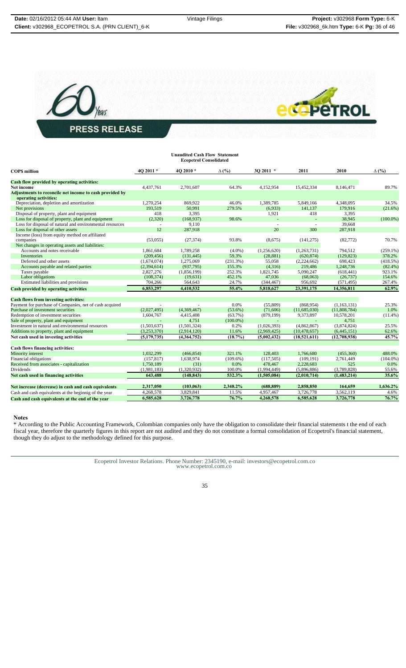



| <b>Unaudited Cash Flow Statement</b><br><b>Ecopetrol Consolidated</b>            |             |             |              |             |                |              |              |
|----------------------------------------------------------------------------------|-------------|-------------|--------------|-------------|----------------|--------------|--------------|
| <b>COPS</b> million                                                              | 40 2011 *   | 4O 2010*    | $\Delta$ (%) | 30 2011 *   | 2011           | 2010         | $\Delta$ (%) |
| Cash flow provided by operating activities:                                      |             |             |              |             |                |              |              |
| <b>Net income</b>                                                                | 4,437,761   | 2,701,607   | 64.3%        | 4,152,954   | 15,452,334     | 8,146,471    | 89.7%        |
| Adjustments to reconcile net income to cash provided by<br>operating activities: |             |             |              |             |                |              |              |
| Depreciation, depletion and amortization                                         | 1.270.254   | 869,922     | 46.0%        | 1.389.785   | 5.849.166      | 4,348,095    | 34.5%        |
| Net provisions                                                                   | 193.519     | 50.991      | 279.5%       | (6,933)     | 141.137        | 179.916      | (21.6%)      |
| Disposal of property, plant and equipment                                        | 418         | 3,395       |              | 1,921       | 418            | 3,395        |              |
| Loss for disposal of property, plant and equipment                               | (2,320)     | (168, 937)  | 98.6%        | $\omega$    | $\omega$       | 38,945       | $(100.0\%)$  |
| Loss for disposal of natural and environmental resources                         | $\sim$      | 9,110       |              | $\sim$      | $\sim$         | 39,668       |              |
| Loss for disposal of other assets                                                | 12          | 287,918     |              | 20          | 300            | 287,918      |              |
| Income (loss) from equity method on affiliated                                   |             |             |              |             |                |              |              |
| companies                                                                        | (53,055)    | (27, 374)   | 93.8%        | (8,675)     | (141, 275)     | (82, 772)    | 70.7%        |
| Net changes in operating assets and liabilities:                                 |             |             |              |             |                |              |              |
| Accounts and notes receivable                                                    | 1,861,684   | 1,789,258   | $(4.0\%)$    | (1,256,620) | (1,263,731)    | 794.512      | $(259.1\%)$  |
| Inventories                                                                      | (209, 456)  | (131, 445)  | 59.3%        | (28, 881)   | (620, 874)     | (129, 823)   | 378.2%       |
| Deferred and other assets                                                        | (1,674,074) | 1,275,069   | (231.3%)     | 55,058      | (2,224,662)    | 698,423      | (418.5%)     |
| Accounts payable and related parties                                             | (2,394,614) | (937,795)   | 155.3%       | (4,316)     | 219,486        | 1,248,736    | $(82.4\%)$   |
| Taxes payable                                                                    | 2,827,276   | (1,856,199) | 252.3%       | 1,821,745   | 5,090,247      | (618, 441)   | 923.1%       |
| Labor obligations                                                                | (108, 374)  | (19, 631)   | 452.1%       | 47,036      | (68,063)       | (26, 737)    | 154.6%       |
| Estimated liabilities and provisions                                             | 704,266     | 564,643     | 24.7%        | (344, 467)  | 956,692        | (571, 495)   | 267.4%       |
| <b>Cash provided by operating activities</b>                                     | 6,853,297   | 4,410,532   | 55.4%        | 5,818,627   | 23,391,175     | 14,356,811   | 62.9%        |
| <b>Cash flows from investing activities:</b>                                     |             |             |              |             |                |              |              |
| Payment for purchase of Companies, net of cash acquired                          |             |             | 0.0%         | (55,809)    | (868,954)      | (1,163,131)  | 25.3%        |
| Purchase of investment securities                                                | (2,027,495) | (4,369,467) | $(53.6\%)$   | (71,606)    | (11,685,030)   | (11,808,784) | 1.0%         |
| Redemption of investment securities                                              | 1,604,767   | 4,415,408   | $(63.7\%)$   | (879, 199)  | 9,373,897      | 10,578,201   | $(11.4\%)$   |
| Sale of property, plant and equipment                                            |             | 4.751       | $(100.0\%)$  |             |                | 4,751        |              |
| Investment in natural and environmental resources                                | (1,503,637) | (1,501,324) | 0.2%         | (1,026,393) | (4,862,867)    | (3,874,824)  | 25.5%        |
| Additions to property, plant and equipment                                       | (3,253,370) | (2,914,120) | 11.6%        | (2,969,425) | (10, 478, 657) | (6,445,151)  | 62.6%        |
| Net cash used in investing activities                                            | (5,179,735) | (4,364,752) | (18.7%)      | (5.002.432) | (18.521.611)   | (12,708,938) | 45.7%        |
| Cash flows financing activities:                                                 |             |             |              |             |                |              |              |
| Minority interest                                                                | 1,032,299   | (466, 854)  | 321.1%       | 128,403     | 1,766,680      | (455,360)    | 488.0%       |
| Financial obligations                                                            | (157, 817)  | 1,638,974   | $(109.6\%)$  | (117, 505)  | (109, 191)     | 2,761,449    | $(104.0\%)$  |
| Received from associates - capitalization                                        | 1,750,189   | (31)        | 0.0%         | 478,467     | 2,228,683      | 525          | 0.0%         |
| Dividends                                                                        | (1,981,183) | (1,320,932) | 100.0%       | (1,994,449) | (5,896,886)    | (3,789,828)  | 55.6%        |
| Net cash used in financing activities                                            | 643,488     | (148, 843)  | 532.3%       | (1,505,084) | (2,010,714)    | (1,483,214)  | 35.6%        |
| Net increase (decrease) in cash and cash equivalents                             | 2,317,050   | (103, 063)  | 2,348.2%     | (688, 889)  | 2,858,850      | 164,659      | 1,636.2%     |
| Cash and cash equivalents at the beginnig of the year                            | 4,268,578   | 3,829,841   | 11.5%        | 4,957,467   | 3,726,778      | 3,562,119    | 4.6%         |
| Cash and cash equivalents at the end of the year                                 | 6,585,628   | 3,726,778   | 76.7%        | 4,268,578   | 6,585,628      | 3,726,778    | 76.7%        |
|                                                                                  |             |             |              |             |                |              |              |

#### **Notes**

\* According to the Public Accounting Framework, Colombian companies only have the obligation to consolidate their financial statements t the end of each fiscal year, therefore the quarterly figures in this report are not audited and they do not constitute a formal consolidation of Ecopetrol's financial statement, though they do adjust to the methodology defined for this purpose.

Ecopetrol Investor Relations. Phone Number: 2345190, e-mail: investors@ecopetrol.com.co www.ecopetrol.com.co

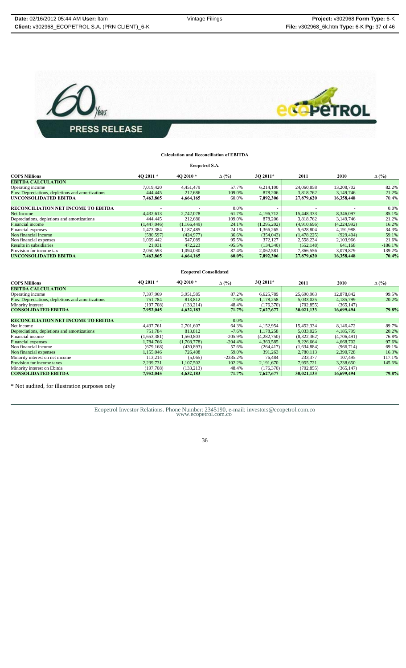

# **Calculation and Reconciliation of EBITDA Ecopetrol S.A.**

| <b>COPS Millions</b>                              | 40 2011 *   | 4O 2010*                      | $\Delta$ (%)   | 30 2011*              | 2011        | 2010        | $\Delta$ (%)   |
|---------------------------------------------------|-------------|-------------------------------|----------------|-----------------------|-------------|-------------|----------------|
| <b>EBITDA CALCULATION</b>                         |             |                               |                |                       |             |             |                |
| Operating income                                  | 7,019,420   | 4,451,479                     | 57.7%          | 6,214,100             | 24,060,858  | 13,208,702  | 82.2%          |
| Plus: Depreciations, depletions and amortizations | 444,445     | 212,686                       | 109.0%         | 878,206               | 3,818,762   | 3,149,746   | 21.2%          |
| UNCONSOLIDATED EBITDA                             | 7,463,865   | 4,664,165                     | 60.0%          | 7,092,306             | 27,879,620  | 16,358,448  | 70.4%          |
|                                                   |             |                               |                |                       |             |             |                |
| RECONCILIATION NET INCOME TO EBITDA               |             |                               | 0.0%           |                       |             |             | 0.0%           |
| Net Income                                        | 4,432,613   | 2,742,078                     | 61.7%          | 4,196,712             | 15,448,333  | 8,346,097   | 85.1%          |
| Depreciations, depletions and amortizations       | 444,445     | 212.686                       | 109.0%         | 878,206               | 3,818,762   | 3.149.746   | 21.2%          |
| <b>Financial income</b>                           | (1,447,046) | (1,166,449)                   | 24.1%          | (1,295,202)           | (4,910,696) | (4,224,992) | 16.2%          |
| Financial expenses                                | 1,473,384   | 1,187,485                     | 24.1%          | 1,366,265             | 5,628,804   | 4,191,988   | 34.3%          |
| Non financial income                              | (580, 597)  | (424, 977)                    | 36.6%          | (354,043)             | (1,478,225) | (929, 404)  | 59.1%          |
| Non financial expenses                            | 1,069,442   | 547,089                       | 95.5%          | 372,127               | 2,558,234   | 2,103,966   | 21.6%          |
| Results in subsidiaries                           | 21,031      | 472,223                       | $-95.5%$       | (134, 340)            | (552, 148)  | 641,168     | $-186.1%$      |
| Provision for income tax                          | 2,050,593   | 1,094,030                     | 87.4%          | 2,062,581             | 7,366,556   | 3,079,879   | 139.2%         |
| UNCONSOLIDATED EBITDA                             | 7,463,865   | 4,664,165                     | $60.0\%$       | 7,092,306             | 27,879,620  | 16,358,448  | 70.4%          |
|                                                   |             | <b>Ecopetrol Consolidated</b> |                |                       |             |             |                |
|                                                   |             |                               |                |                       |             |             |                |
| <b>COPS Millions</b>                              | 4O 2011 *   | 4O 2010 *                     | $\Delta$ (%)   | 3Q 2011*              | 2011        | 2010        | $\Delta$ (%)   |
| <b>EBITDA CALCULATION</b>                         |             |                               |                |                       |             |             |                |
| Operating income                                  | 7,397,969   | 3,951,585                     | 87.2%          | 6,625,789             | 25,690,963  | 12,878,842  | 99.5%          |
| Plus: Depreciations, depletions and amortizations | 751.784     | 813.812                       | $-7.6%$        | 1,178,258             | 5.033.025   | 4.185.799   | 20.2%          |
| Minority interest                                 | (197,708)   | (133, 214)                    | 48.4%          | (176, 370)            | (702, 855)  | (365, 147)  |                |
| <b>CONSOLIDATED EBITDA</b>                        | 7,952,045   | 4,632,183                     | 71.7%          | 7,627,677             | 30,021,133  | 16,699,494  | 79.8%          |
|                                                   |             |                               |                |                       |             |             |                |
| RECONCILIATION NET INCOME TO EBITDA               |             |                               |                |                       |             |             |                |
| Net income                                        |             |                               | 0.0%           |                       |             |             |                |
|                                                   | 4,437,761   | 2,701,607                     | 64.3%          | 4,152,954             | 15,452,334  | 8,146,472   | 89.7%          |
| Depreciations, depletions and amortizations       | 751,784     | 813,812                       | $-7.6%$        | 1,178,258             | 5,033,025   | 4,185,799   | 20.2%          |
| Financial income                                  | (1,653,381) | 1,560,803                     | $-205.9%$      | (4,282,750)           | (8,322,362) | (4,706,491) | 76.8%          |
| <b>Financial</b> expenses                         | 1,784,766   | (1,708,778)                   | $-204.4%$      | 4,360,585             | 9,226,664   | 4,668,702   | 97.6%          |
| Non financial income                              | (679, 168)  | (430, 893)                    | 57.6%<br>59.0% | (264, 417)<br>391,263 | (1,634,884) | (966, 714)  | 69.1%<br>16.3% |

\* Not audited, for illustration purposes only

Ecopetrol Investor Relations. Phone Number: 2345190, e-mail: investors@ecopetrol.com.co www.ecopetrol.com.co

Minority interest on net income<br>
Minority interest on Ebita<br>
Minority interest on Ebita<br>
Minority interest on Ebita<br>
2.239,731 13,214 1,107,495 102.2% 76,484 2,191,670 7,923,377 107,495 117.1%<br>
2.239,731 1,13,214 102,323<br>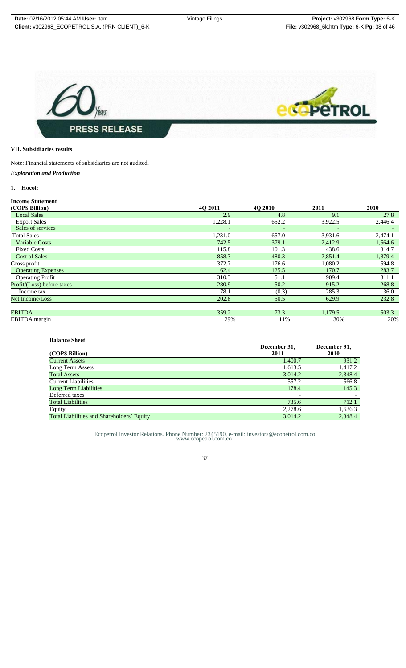

# **VII. Subsidiaries results**

Note: Financial statements of subsidiaries are not audited.

*Exploration and Production*

# **1. Hocol:**

| <b>Income Statement</b>    |                          |                          |         |                          |
|----------------------------|--------------------------|--------------------------|---------|--------------------------|
| (COP\$ Billion)            | 4O 2011                  | <b>4O 2010</b>           | 2011    | 2010                     |
| <b>Local Sales</b>         | 2.9                      | 4.8                      | 9.1     | 27.8                     |
| <b>Export Sales</b>        | 1,228.1                  | 652.2                    | 3,922.5 | 2,446.4                  |
| Sales of services          | $\overline{\phantom{m}}$ | $\overline{\phantom{a}}$ |         | $\overline{\phantom{a}}$ |
| <b>Total Sales</b>         | 1,231.0                  | 657.0                    | 3,931.6 | 2,474.1                  |
| <b>Variable Costs</b>      | 742.5                    | 379.1                    | 2,412.9 | 1,564.6                  |
| <b>Fixed Costs</b>         | 115.8                    | 101.3                    | 438.6   | 314.7                    |
| <b>Cost of Sales</b>       | 858.3                    | 480.3                    | 2,851.4 | 1,879.4                  |
| Gross profit               | 372.7                    | 176.6                    | 1,080.2 | 594.8                    |
| <b>Operating Expenses</b>  | 62.4                     | 125.5                    | 170.7   | 283.7                    |
| <b>Operating Profit</b>    | 310.3                    | 51.1                     | 909.4   | 311.1                    |
| Profit/(Loss) before taxes | 280.9                    | 50.2                     | 915.2   | 268.8                    |
| Income tax                 | 78.1                     | (0.3)                    | 285.3   | 36.0                     |
| Net Income/Loss            | 202.8                    | 50.5                     | 629.9   | 232.8                    |
|                            |                          |                          |         |                          |
| <b>EBITDA</b>              | 359.2                    | 73.3                     | 1,179.5 | 503.3                    |
| EBITDA margin              | 29%                      | 11%                      | 30%     | 20%                      |

| <b>Balance Sheet</b>                       |              |              |
|--------------------------------------------|--------------|--------------|
|                                            | December 31, | December 31, |
| (COP\$ Billion)                            | 2011         | 2010         |
| <b>Current Assets</b>                      | 1,400.7      | 931.2        |
| Long Term Assets                           | 1,613.5      | 1,417.2      |
| <b>Total Assets</b>                        | 3,014.2      | 2,348.4      |
| <b>Current Liabilities</b>                 | 557.2        | 566.8        |
| Long Term Liabilities                      | 178.4        | 145.3        |
| Deferred taxes                             |              |              |
| <b>Total Liabilities</b>                   | 735.6        | 712.1        |
| Equity                                     | 2,278.6      | 1,636.3      |
| Total Liabilities and Shareholders' Equity | 3,014.2      | 2,348.4      |

Ecopetrol Investor Relations. Phone Number: 2345190, e-mail: investors@ecopetrol.com.co www.ecopetrol.com.co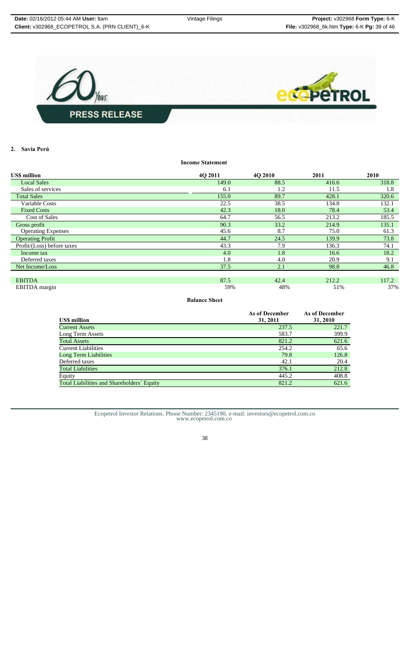

**2. Savia Perú**

**US\$ million 4Q 2011 4Q 2010 2011 2010 Local Sales 149.0** 88.5 **416.6** 318.8 **5**  $\frac{318.8}{215}$ Sales of services 6.1 1.2 11.5 1.8<br>
Total Sales 155.0 89.7 428.1 320.6 Total Sales 155.0 89.7 428.1 320.6 Variable Costs 22.5 38.5 134.8 132.1 Fixed Costs  $\begin{array}{cccc} 78.4 & 53.4 \end{array}$   $\begin{array}{cccc} 42.3 & 18.0 & 78.4 \end{array}$   $\begin{array}{cccc} 53.4 & 53.4 \end{array}$ Cost of Sales 64.7 56.5 213.2 185.5 Gross profit **60.3** 214.9 214.9 135.1 214.9 214.9 214.9 214.9 214.9 214.9 214.9 214.9 214.9 214.9 214.9 214.9 214.9 214.9 214.9 214.9 214.9 214.9 214.9 214.9 214.9 214.9 214.9 214.9 214.9 214.9 214.9 214.9 214.9 215.1 215. Operating Expenses 45.6 8.7 75.0 61.3<br> **Operating Profit** 61.3<br> **Ad.7** 24.5 139.9 73.8 Operating Profit 24.5<br>
Profit/(Loss) before taxes 24.5 139.9 139.9 7.9 139.9 139.9 139.9 139.9 139.9 139.9 139.9 139.9 139.9 139.9 139.9 139.9 139.9 139.9 139.9 139.9 139.9 139.9 139.9 139.9 139.9 139.9 139.9 139.9 139.9 1 Profit/(Loss) before taxes 43.3 7.9 136.3 74.1 **Income tax**  $1.8 \t 16.6 \t 18.2$ Deferred taxes  $1.8$   $4.0$   $20.9$   $9.1$ Net Income/Loss 37.5 2.1 98.8 46.8 **EBITDA** 87.5 42.4 212.2 117.2 EBITDA margin 59% 48% 51% 37%

**Income Statement**

# **Balance Sheet**

| <b>USS</b> million                         | As of December<br>31, 2011 | <b>As of December</b><br>31, 2010 |
|--------------------------------------------|----------------------------|-----------------------------------|
| <b>Current Assets</b>                      | 237.5                      | 221.7                             |
| Long Term Assets                           | 583.7                      | 399.9                             |
| <b>Total Assets</b>                        | 821.2                      | 621.6                             |
| <b>Current Liabilities</b>                 | 254.2                      | 65.6                              |
| Long Term Liabilities                      | 79.8                       | 126.8                             |
| Deferred taxes                             | 42.1                       | 20.4                              |
| <b>Total Liabilities</b>                   | 376.1                      | 212.8                             |
| Equity                                     | 445.2                      | 408.8                             |
| Total Liabilities and Shareholders' Equity | 821.2                      | 621.6                             |

Ecopetrol Investor Relations. Phone Number: 2345190, e-mail: investors@ecopetrol.com.co www.ecopetrol.com.co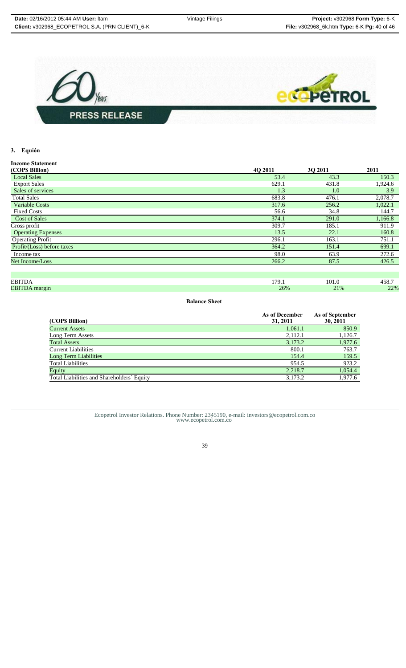

# **3. Equión**

| <b>Income Statement</b>    |         |         |         |
|----------------------------|---------|---------|---------|
| (COPS Billion)             | 4O 2011 | 3O 2011 | 2011    |
| <b>Local Sales</b>         | 53.4    | 43.3    | 150.3   |
| <b>Export Sales</b>        | 629.1   | 431.8   | 1,924.6 |
| Sales of services          | 1.3     | 1.0     | 3.9     |
| <b>Total Sales</b>         | 683.8   | 476.1   | 2,078.7 |
| <b>Variable Costs</b>      | 317.6   | 256.2   | 1,022.1 |
| <b>Fixed Costs</b>         | 56.6    | 34.8    | 144.7   |
| <b>Cost of Sales</b>       | 374.1   | 291.0   | 1,166.8 |
| Gross profit               | 309.7   | 185.1   | 911.9   |
| <b>Operating Expenses</b>  | 13.5    | 22.1    | 160.8   |
| <b>Operating Profit</b>    | 296.1   | 163.1   | 751.1   |
| Profit/(Loss) before taxes | 364.2   | 151.4   | 699.1   |
| Income tax                 | 98.0    | 63.9    | 272.6   |
| Net Income/Loss            | 266.2   | 87.5    | 426.5   |
|                            |         |         |         |
| <b>EBITDA</b>              | 179.1   | 101.0   | 458.7   |
| <b>EBITDA</b> margin       | 26%     | 21%     | 22%     |

**Balance Sheet**

|                                            | As of December | As of September |
|--------------------------------------------|----------------|-----------------|
| (COPS Billion)                             | 31, 2011       | 30, 2011        |
| <b>Current Assets</b>                      | 1,061.1        | 850.9           |
| Long Term Assets                           | 2,112.1        | 1,126.7         |
| <b>Total Assets</b>                        | 3,173.2        | 1,977.6         |
| <b>Current Liabilities</b>                 | 800.1          | 763.7           |
| <b>Long Term Liabilities</b>               | 154.4          | 159.5           |
| <b>Total Liabilities</b>                   | 954.5          | 923.2           |
| Equity                                     | 2,218.7        | 1,054.4         |
| Total Liabilities and Shareholders' Equity | 3,173.2        | 1,977.6         |

Ecopetrol Investor Relations. Phone Number: 2345190, e-mail: investors@ecopetrol.com.co www.ecopetrol.com.co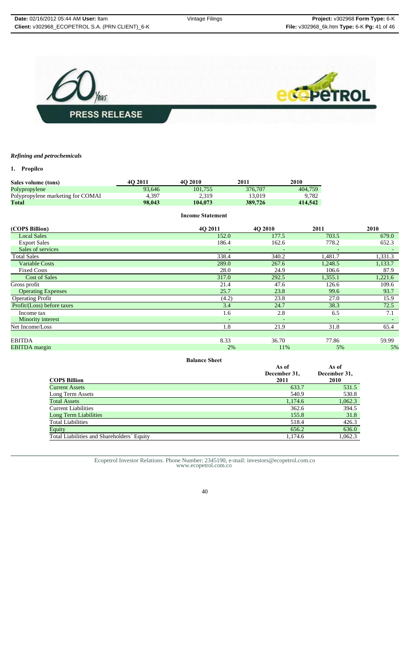

# *Refining and petrochemicals*

# **1. Propilco**

| <b>Sales volume (tons)</b>        | 4O 2011 | 40 2010 | 2011    | 2010    |
|-----------------------------------|---------|---------|---------|---------|
| Polypropylene                     | 93.646  | 101.755 | 376,707 | 404.759 |
| Polypropylene marketing for COMAI | 4.397   | 2.319   | 13.019  | 9.782   |
| Total                             | 98,043  | 104.073 | 389.726 | 414,542 |

|                            | <b>Income Statement</b>  |                          |                          |             |
|----------------------------|--------------------------|--------------------------|--------------------------|-------------|
| (COP\$ Billion)            | 4Q 2011                  | 4Q 2010                  | 2011                     | <b>2010</b> |
| <b>Local Sales</b>         | 152.0                    | 177.5                    | 703.5                    | 679.0       |
| <b>Export Sales</b>        | 186.4                    | 162.6                    | 778.2                    | 652.3       |
| Sales of services          | $\overline{\phantom{0}}$ |                          |                          |             |
| <b>Total Sales</b>         | 338.4                    | 340.2                    | 1,481.7                  | 1,331.3     |
| <b>Variable Costs</b>      | 289.0                    | 267.6                    | 1,248.5                  | 1,133.7     |
| <b>Fixed Costs</b>         | 28.0                     | 24.9                     | 106.6                    | 87.9        |
| <b>Cost of Sales</b>       | 317.0                    | 292.5                    | 1,355.1                  | 1,221.6     |
| Gross profit               | 21.4                     | 47.6                     | 126.6                    | 109.6       |
| <b>Operating Expenses</b>  | 25.7                     | 23.8                     | 99.6                     | 93.7        |
| <b>Operating Profit</b>    | (4.2)                    | 23.8                     | 27.0                     | 15.9        |
| Profit/(Loss) before taxes | 3.4                      | 24.7                     | 38.3                     | 72.5        |
| Income tax                 | 1.6                      | 2.8                      | 6.5                      | 7.1         |
| Minority interest          | $\overline{\phantom{0}}$ | $\overline{\phantom{a}}$ | $\overline{\phantom{a}}$ |             |
| Net Income/Loss            | 1.8                      | 21.9                     | 31.8                     | 65.4        |
|                            |                          |                          |                          |             |
| <b>EBITDA</b>              | 8.33                     | 36.70                    | 77.86                    | 59.99       |
| <b>EBITDA</b> margin       | 2%                       | 11%                      | 5%                       | 5%          |

| <b>Balance Sheet</b> |  |
|----------------------|--|
|                      |  |

| Damne Shee                                 |                               |                               |
|--------------------------------------------|-------------------------------|-------------------------------|
| <b>COPS Billion</b>                        | As of<br>December 31,<br>2011 | As of<br>December 31,<br>2010 |
| <b>Current Assets</b>                      | 633.7                         | 531.5                         |
| Long Term Assets                           | 540.9                         | 530.8                         |
| <b>Total Assets</b>                        | 1,174.6                       | 1,062.3                       |
| <b>Current Liabilities</b>                 | 362.6                         | 394.5                         |
| Long Term Liabilities                      | 155.8                         | 31.8                          |
| <b>Total Liabilities</b>                   | 518.4                         | 426.3                         |
| Equity                                     | 656.2                         | 636.0                         |
| Total Liabilities and Shareholders' Equity | 1,174.6                       | 1,062.3                       |
|                                            |                               |                               |

Ecopetrol Investor Relations. Phone Number: 2345190, e-mail: investors@ecopetrol.com.co www.ecopetrol.com.co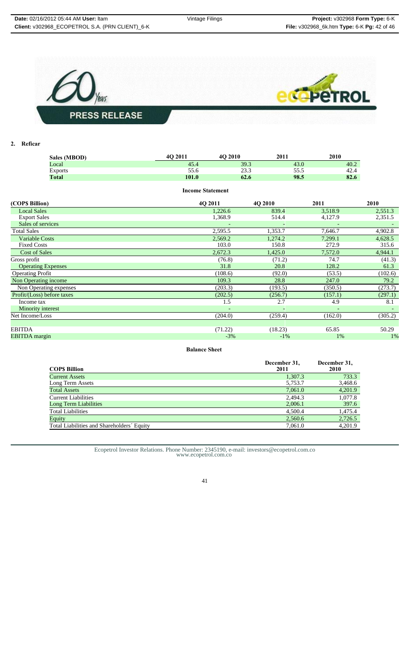

# **2. Reficar**

| Sales (MBOD)       | 40 2011                 | 4O 2010 | 2011  | 2010    |         |
|--------------------|-------------------------|---------|-------|---------|---------|
| Local              | 45.4                    | 39.3    | 43.0  | 40.2    |         |
| <b>Exports</b>     | 55.6                    | 23.3    | 55.5  | 42.4    |         |
| <b>Total</b>       | 101.0                   | 62.6    | 98.5  | 82.6    |         |
|                    | <b>Income Statement</b> |         |       |         |         |
| (COP\$ Billion)    | 40 2011                 | 4O 2010 | 2011  |         | 2010    |
| <b>Local Sales</b> |                         | 1,226.6 | 839.4 | 3,518.9 | 2,551.3 |

| Local Daics                | 1.440.0                  | 092.7                    | $J_{1}$ $J_{2}$          | 1,001.0 |
|----------------------------|--------------------------|--------------------------|--------------------------|---------|
| <b>Export Sales</b>        | 1,368.9                  | 514.4                    | 4,127.9                  | 2,351.5 |
| Sales of services          |                          |                          |                          |         |
| <b>Total Sales</b>         | 2,595.5                  | 1,353.7                  | 7,646.7                  | 4,902.8 |
| <b>Variable Costs</b>      | 2.569.2                  | 1,274.2                  | 7,299.1                  | 4,628.5 |
| <b>Fixed Costs</b>         | 103.0                    | 150.8                    | 272.9                    | 315.6   |
| <b>Cost of Sales</b>       | 2,672.3                  | 1,425.0                  | 7,572.0                  | 4,944.1 |
| Gross profit               | (76.8)                   | (71.2)                   | 74.7                     | (41.3)  |
| <b>Operating Expenses</b>  | 31.8                     | 20.8                     | 128.2                    | 61.3    |
| <b>Operating Profit</b>    | (108.6)                  | (92.0)                   | (53.5)                   | (102.6) |
| Non Operating income       | 109.3                    | 28.8                     | 247.0                    | 79.2    |
| Non Operating expenses     | (203.3)                  | (193.5)                  | (350.5)                  | (273.7) |
| Profit/(Loss) before taxes | (202.5)                  | (256.7)                  | (157.1)                  | (297.1) |
| Income tax                 | 1.5                      | 2.7                      | 4.9                      | 8.1     |
| Minority interest          | $\overline{\phantom{0}}$ | $\overline{\phantom{0}}$ | $\overline{\phantom{a}}$ |         |
| Net Income/Loss            | (204.0)                  | (259.4)                  | (162.0)                  | (305.2) |
|                            |                          |                          |                          |         |
| <b>EBITDA</b>              | (71.22)                  | (18.23)                  | 65.85                    | 50.29   |
| <b>EBITDA</b> margin       | $-3%$                    | $-1\%$                   | 1%                       | 1%      |

**Balance Sheet** 

| <b>COPS Billion</b>                        | December 31,<br>2011 | December 31,<br>2010 |
|--------------------------------------------|----------------------|----------------------|
| <b>Current Assets</b>                      | 1,307.3              | 733.3                |
| Long Term Assets                           | 5,753.7              | 3,468.6              |
| <b>Total Assets</b>                        | 7,061.0              | 4,201.9              |
| Current Liabilities                        | 2.494.3              | 1,077.8              |
| <b>Long Term Liabilities</b>               | 2,006.1              | 397.6                |
| <b>Total Liabilities</b>                   | 4.500.4              | 1,475.4              |
| Equity                                     | 2,560.6              | 2,726.5              |
| Total Liabilities and Shareholders' Equity | 7,061.0              | 4,201.9              |

Ecopetrol Investor Relations. Phone Number: 2345190, e-mail: investors@ecopetrol.com.co www.ecopetrol.com.co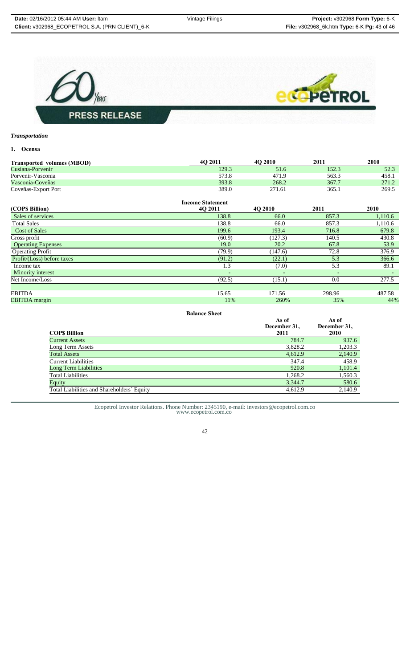

# *Transportation*

# **1. Ocensa**

| <b>Transported volumes (MBOD)</b> | 40 2011                 | 4O 2010 | 2011  | 2010  |
|-----------------------------------|-------------------------|---------|-------|-------|
| Cusiana-Porvenir                  | 129.3                   | 51.6    | 152.3 | 52.3  |
| Porvenir-Vasconia                 | 573.8                   | 471.9   | 563.3 | 458.1 |
| Vasconia-Coveñas                  | 393.8                   | 268.2   | 367.7 | 271.2 |
| Coveñas-Export Port               | 389.0                   | 271.61  | 365.1 | 269.5 |
|                                   | <b>Income Statement</b> |         |       |       |
| (COPS Billion)                    | 40 2011                 | 4O 2010 | 2011  | 2010  |

| Sales of services          | 138.8                    | 66.0                     | 857.3  | 1,110.6 |
|----------------------------|--------------------------|--------------------------|--------|---------|
| <b>Total Sales</b>         | 138.8                    | 66.0                     | 857.3  | 1,110.6 |
| <b>Cost of Sales</b>       | 199.6                    | 193.4                    | 716.8  | 679.8   |
| Gross profit               | (60.9)                   | (127.3)                  | 140.5  | 430.8   |
| <b>Operating Expenses</b>  | 19.0                     | 20.2                     | 67.8   | 53.9    |
| <b>Operating Profit</b>    | (79.9)                   | (147.6)                  | 72.8   | 376.9   |
| Profit/(Loss) before taxes | (91.2)                   | (22.1)                   | 5.3    | 366.6   |
| Income tax                 | 1.3                      | (7.0)                    | 5.3    | 89.1    |
| Minority interest          | $\overline{\phantom{0}}$ | $\overline{\phantom{0}}$ |        |         |
| Net Income/Loss            | (92.5)                   | (15.1)                   | 0.0    | 277.5   |
|                            |                          |                          |        |         |
| <b>EBITDA</b>              | 15.65                    | 171.56                   | 298.96 | 487.58  |
| <b>EBITDA</b> margin       | 11%                      | 260%                     | 35%    | 44%     |

#### **Balance Sheet**

|                                            | As of<br>December 31, | As of<br>December 31. |
|--------------------------------------------|-----------------------|-----------------------|
| <b>COPS Billion</b>                        | 2011                  | <b>2010</b>           |
| <b>Current Assets</b>                      | 784.7                 | 937.6                 |
| Long Term Assets                           | 3,828.2               | 1,203.3               |
| <b>Total Assets</b>                        | 4,612.9               | 2,140.9               |
| <b>Current Liabilities</b>                 | 347.4                 | 458.9                 |
| Long Term Liabilities                      | 920.8                 | 1,101.4               |
| <b>Total Liabilities</b>                   | 1,268.2               | 1,560.3               |
| Equity                                     | 3,344.7               | 580.6                 |
| Total Liabilities and Shareholders' Equity | 4,612.9               | 2,140.9               |
|                                            |                       |                       |

Ecopetrol Investor Relations. Phone Number: 2345190, e-mail: investors@ecopetrol.com.co www.ecopetrol.com.co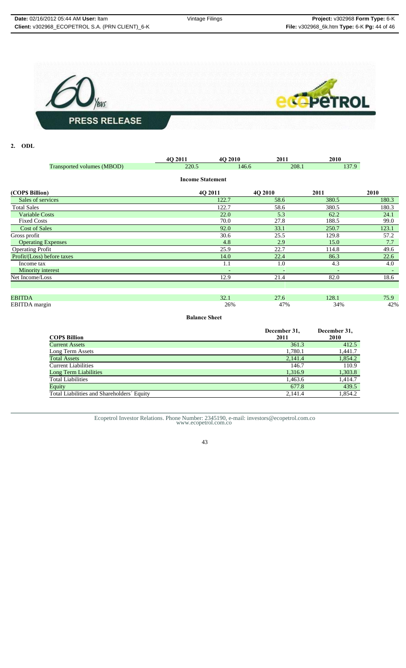

# **2. ODL**

|                            | 4Q 2011                 | 4Q 2010 | 2011                     | 2010                     |                          |
|----------------------------|-------------------------|---------|--------------------------|--------------------------|--------------------------|
| Transported volumes (MBOD) | 220.5                   | 146.6   | 208.1                    | 137.9                    |                          |
|                            | <b>Income Statement</b> |         |                          |                          |                          |
| (COP\$ Billion)            | 4Q 2011                 |         | 4Q 2010                  | 2011                     | 2010                     |
| Sales of services          |                         | 122.7   | 58.6                     | 380.5                    | 180.3                    |
| <b>Total Sales</b>         |                         | 122.7   | 58.6                     | 380.5                    | 180.3                    |
| <b>Variable Costs</b>      |                         | 22.0    | 5.3                      | 62.2                     | 24.1                     |
| <b>Fixed Costs</b>         |                         | 70.0    | 27.8                     | 188.5                    | 99.0                     |
| <b>Cost of Sales</b>       |                         | 92.0    | 33.1                     | 250.7                    | 123.1                    |
| Gross profit               |                         | 30.6    | 25.5                     | 129.8                    | 57.2                     |
| <b>Operating Expenses</b>  |                         | 4.8     | 2.9                      | 15.0                     | 7.7                      |
| <b>Operating Profit</b>    |                         | 25.9    | 22.7                     | 114.8                    | 49.6                     |
| Profit/(Loss) before taxes |                         | 14.0    | 22.4                     | 86.3                     | 22.6                     |
| Income tax                 |                         | 1.1     | 1.0                      | 4.3                      | 4.0                      |
| Minority interest          |                         | ٠       | $\overline{\phantom{a}}$ | $\overline{\phantom{0}}$ | $\overline{\phantom{a}}$ |
| Net Income/Loss            |                         | 12.9    | 21.4                     | 82.0                     | 18.6                     |
|                            |                         |         |                          |                          |                          |
|                            |                         |         |                          |                          |                          |
| <b>EBITDA</b>              |                         | 32.1    | 27.6                     | 128.1                    | 75.9                     |
| EBITDA margin              |                         | 26%     | 47%                      | 34%                      | 42%                      |

**Balance Sheet**

| <b>COPS Billion</b>                        | December 31,<br>2011 | December 31,<br>2010 |
|--------------------------------------------|----------------------|----------------------|
| <b>Current Assets</b>                      | 361.3                | 412.5                |
| Long Term Assets                           | 1,780.1              | 1,441.7              |
| <b>Total Assets</b>                        | 2,141.4              | 1,854.2              |
| <b>Current Liabilities</b>                 | 146.7                | 110.9                |
| <b>Long Term Liabilities</b>               | 1,316.9              | 1,303.8              |
| <b>Total Liabilities</b>                   | 1,463.6              | 1.414.7              |
| Equity                                     | 677.8                | 439.5                |
| Total Liabilities and Shareholders' Equity | 2,141.4              | 1,854.2              |

Ecopetrol Investor Relations. Phone Number: 2345190, e-mail: investors@ecopetrol.com.co www.ecopetrol.com.co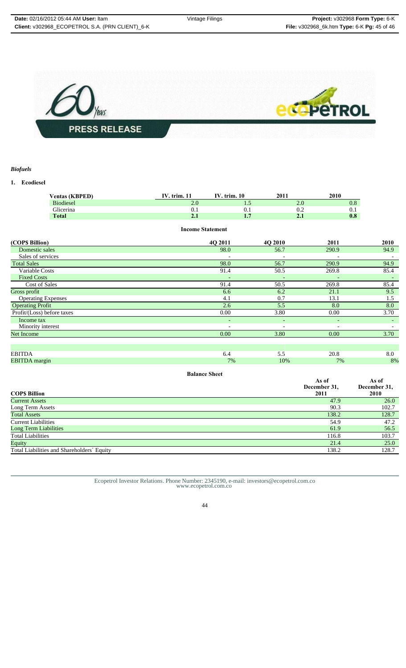

# *Biofuels*

**1. Ecodiesel**

| <b>Ventas (KBPED)</b>      | <b>IV.</b> trim. 11     | IV. trim. 10   | 2011                     | 2010                          |                               |
|----------------------------|-------------------------|----------------|--------------------------|-------------------------------|-------------------------------|
| <b>Biodiesel</b>           | 2.0                     | 1.5            |                          | 2.0                           | 0.8                           |
| Glicerina                  | 0.1                     | 0.1            |                          | 0.2                           | 0.1                           |
| <b>Total</b>               | 2.1                     | 1.7            |                          | 2.1                           | 0.8                           |
|                            | <b>Income Statement</b> |                |                          |                               |                               |
| (COP\$ Billion)            |                         | 4Q 2011        | 4Q 2010                  | 2011                          | 2010                          |
| Domestic sales             |                         | 98.0           | 56.7                     | 290.9                         | 94.9                          |
| Sales of services          |                         |                |                          |                               |                               |
| <b>Total Sales</b>         |                         | 98.0           | 56.7                     | 290.9                         | 94.9                          |
| Variable Costs             |                         | 91.4           | 50.5                     | 269.8                         | 85.4                          |
| <b>Fixed Costs</b>         |                         |                |                          |                               |                               |
| Cost of Sales              |                         | 91.4           | 50.5                     | 269.8                         | 85.4                          |
| Gross profit               |                         | 6.6            | 6.2                      | 21.1                          | 9.5                           |
| <b>Operating Expenses</b>  |                         | 4.1            | 0.7                      | 13.1                          | 1.5                           |
| <b>Operating Profit</b>    |                         | 2.6            | 5.5                      | 8.0                           | 8.0                           |
| Profit/(Loss) before taxes |                         | 0.00           | 3.80                     | 0.00                          | 3.70                          |
| Income tax                 |                         | $\blacksquare$ | $\overline{\phantom{a}}$ | $\overline{\phantom{a}}$      | $\sim$                        |
| Minority interest          |                         |                | $\overline{a}$           |                               |                               |
| <b>Net Income</b>          |                         | 0.00           | 3.80                     | 0.00                          | 3.70                          |
|                            |                         |                |                          |                               |                               |
|                            |                         |                |                          |                               |                               |
| <b>EBITDA</b>              |                         | 6.4            | 5.5                      | 20.8                          | 8.0                           |
| <b>EBITDA</b> margin       |                         | 7%             | 10%                      | 7%                            | 8%                            |
|                            | <b>Balance Sheet</b>    |                |                          |                               |                               |
| $\cap$ D¢ Rillion          |                         |                |                          | As of<br>December 31,<br>2011 | As of<br>December 31,<br>2010 |

| <b>COPS Billion</b>                        | DUUMDUL JI,<br>2011 | $D$ <sub>U</sub><br>2010 |
|--------------------------------------------|---------------------|--------------------------|
| <b>Current Assets</b>                      | 47.9                | 26.0                     |
| Long Term Assets                           | 90.3                | 102.7                    |
| <b>Total Assets</b>                        | 138.2               | 128.7                    |
| <b>Current Liabilities</b>                 | 54.9                | 47.2                     |
| Long Term Liabilities                      | 61.9                | 56.5                     |
| <b>Total Liabilities</b>                   | 116.8               | 103.7                    |
| Equity                                     | 21.4                | 25.0                     |
| Total Liabilities and Shareholders' Equity | 138.2               | 128.7                    |
|                                            |                     |                          |

Ecopetrol Investor Relations. Phone Number: 2345190, e-mail: investors@ecopetrol.com.co www.ecopetrol.com.co